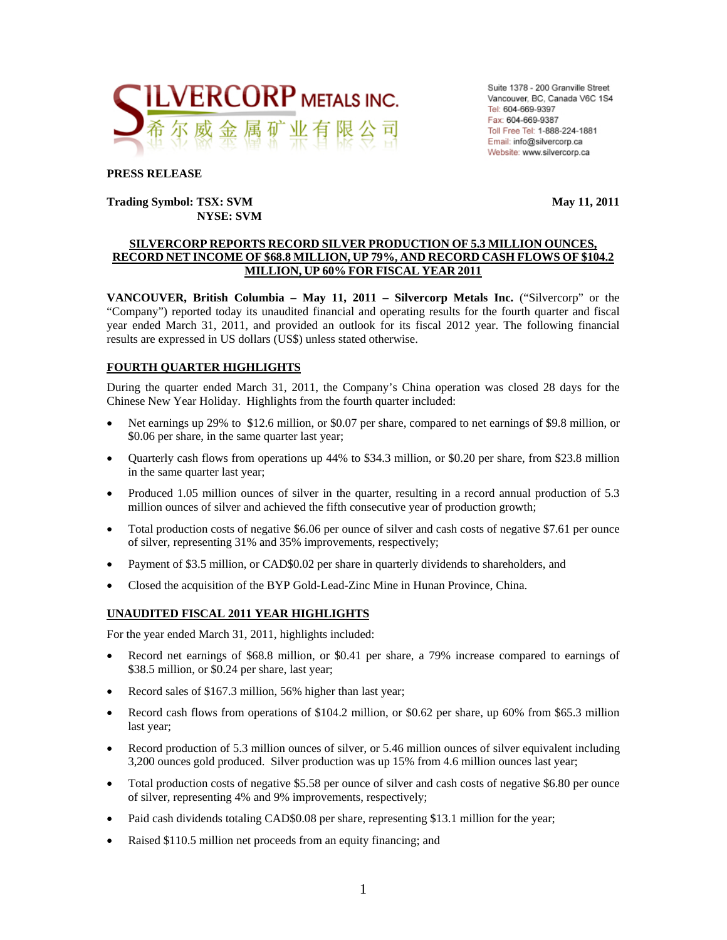

Suite 1378 - 200 Granville Street Vancouver, BC, Canada V6C 1S4 Tel: 604-669-9397 Fax: 604-669-9387 Toll Free Tel: 1-888-224-1881 Email: info@silvercorp.ca Website: www.silvercorp.ca

#### **PRESS RELEASE**

#### **Trading Symbol: TSX: SVM May 11, 2011 NYSE: SVM**

#### **SILVERCORP REPORTS RECORD SILVER PRODUCTION OF 5.3 MILLION OUNCES, RECORD NET INCOME OF \$68.8 MILLION, UP 79%, AND RECORD CASH FLOWS OF \$104.2 MILLION, UP 60% FOR FISCAL YEAR 2011**

**VANCOUVER, British Columbia – May 11, 2011 – Silvercorp Metals Inc.** ("Silvercorp" or the "Company") reported today its unaudited financial and operating results for the fourth quarter and fiscal year ended March 31, 2011, and provided an outlook for its fiscal 2012 year. The following financial results are expressed in US dollars (US\$) unless stated otherwise.

#### **FOURTH QUARTER HIGHLIGHTS**

During the quarter ended March 31, 2011, the Company's China operation was closed 28 days for the Chinese New Year Holiday. Highlights from the fourth quarter included:

- Net earnings up 29% to \$12.6 million, or \$0.07 per share, compared to net earnings of \$9.8 million, or \$0.06 per share, in the same quarter last year;
- Quarterly cash flows from operations up 44% to \$34.3 million, or \$0.20 per share, from \$23.8 million in the same quarter last year;
- Produced 1.05 million ounces of silver in the quarter, resulting in a record annual production of 5.3 million ounces of silver and achieved the fifth consecutive year of production growth;
- Total production costs of negative \$6.06 per ounce of silver and cash costs of negative \$7.61 per ounce of silver, representing 31% and 35% improvements, respectively;
- Payment of \$3.5 million, or CAD\$0.02 per share in quarterly dividends to shareholders, and
- Closed the acquisition of the BYP Gold-Lead-Zinc Mine in Hunan Province, China.

#### **UNAUDITED FISCAL 2011 YEAR HIGHLIGHTS**

For the year ended March 31, 2011, highlights included:

- Record net earnings of \$68.8 million, or \$0.41 per share, a 79% increase compared to earnings of \$38.5 million, or \$0.24 per share, last year;
- Record sales of \$167.3 million, 56% higher than last year;
- Record cash flows from operations of \$104.2 million, or \$0.62 per share, up 60% from \$65.3 million last year;
- Record production of 5.3 million ounces of silver, or 5.46 million ounces of silver equivalent including 3,200 ounces gold produced. Silver production was up 15% from 4.6 million ounces last year;
- Total production costs of negative \$5.58 per ounce of silver and cash costs of negative \$6.80 per ounce of silver, representing 4% and 9% improvements, respectively;
- Paid cash dividends totaling CAD\$0.08 per share, representing \$13.1 million for the year;
- Raised \$110.5 million net proceeds from an equity financing; and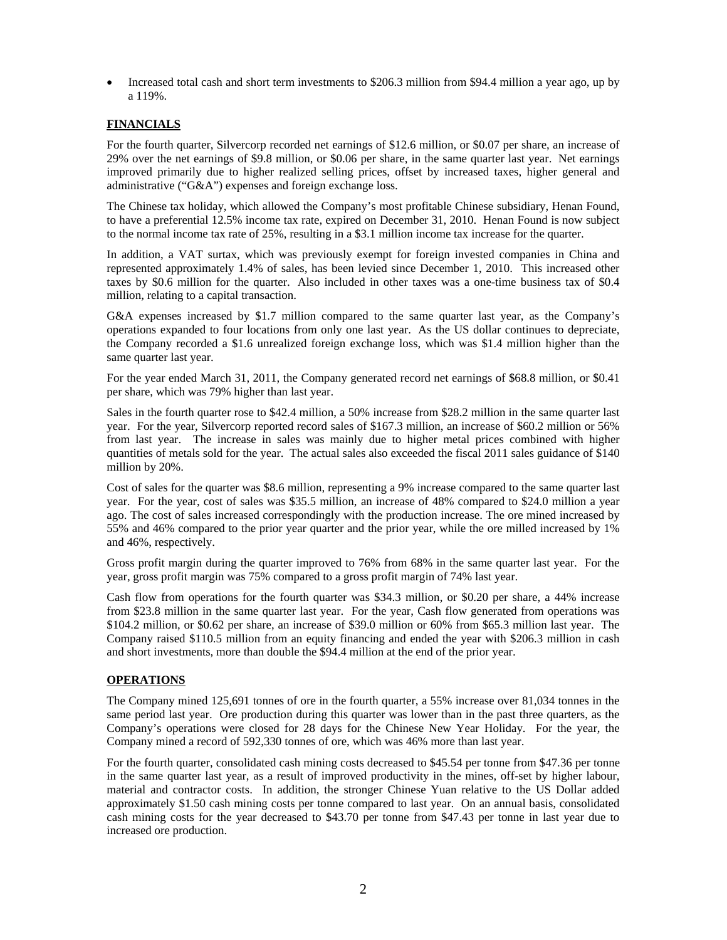• Increased total cash and short term investments to \$206.3 million from \$94.4 million a year ago, up by a 119%.

#### **FINANCIALS**

For the fourth quarter, Silvercorp recorded net earnings of \$12.6 million, or \$0.07 per share, an increase of 29% over the net earnings of \$9.8 million, or \$0.06 per share, in the same quarter last year. Net earnings improved primarily due to higher realized selling prices, offset by increased taxes, higher general and administrative ("G&A") expenses and foreign exchange loss.

The Chinese tax holiday, which allowed the Company's most profitable Chinese subsidiary, Henan Found, to have a preferential 12.5% income tax rate, expired on December 31, 2010. Henan Found is now subject to the normal income tax rate of 25%, resulting in a \$3.1 million income tax increase for the quarter.

In addition, a VAT surtax, which was previously exempt for foreign invested companies in China and represented approximately 1.4% of sales, has been levied since December 1, 2010. This increased other taxes by \$0.6 million for the quarter. Also included in other taxes was a one-time business tax of \$0.4 million, relating to a capital transaction.

G&A expenses increased by \$1.7 million compared to the same quarter last year, as the Company's operations expanded to four locations from only one last year. As the US dollar continues to depreciate, the Company recorded a \$1.6 unrealized foreign exchange loss, which was \$1.4 million higher than the same quarter last year.

For the year ended March 31, 2011, the Company generated record net earnings of \$68.8 million, or \$0.41 per share, which was 79% higher than last year.

Sales in the fourth quarter rose to \$42.4 million, a 50% increase from \$28.2 million in the same quarter last year. For the year, Silvercorp reported record sales of \$167.3 million, an increase of \$60.2 million or 56% from last year. The increase in sales was mainly due to higher metal prices combined with higher quantities of metals sold for the year. The actual sales also exceeded the fiscal 2011 sales guidance of \$140 million by 20%.

Cost of sales for the quarter was \$8.6 million, representing a 9% increase compared to the same quarter last year. For the year, cost of sales was \$35.5 million, an increase of 48% compared to \$24.0 million a year ago. The cost of sales increased correspondingly with the production increase. The ore mined increased by 55% and 46% compared to the prior year quarter and the prior year, while the ore milled increased by 1% and 46%, respectively.

Gross profit margin during the quarter improved to 76% from 68% in the same quarter last year. For the year, gross profit margin was 75% compared to a gross profit margin of 74% last year.

Cash flow from operations for the fourth quarter was \$34.3 million, or \$0.20 per share, a 44% increase from \$23.8 million in the same quarter last year. For the year, Cash flow generated from operations was \$104.2 million, or \$0.62 per share, an increase of \$39.0 million or 60% from \$65.3 million last year. The Company raised \$110.5 million from an equity financing and ended the year with \$206.3 million in cash and short investments, more than double the \$94.4 million at the end of the prior year.

#### **OPERATIONS**

The Company mined 125,691 tonnes of ore in the fourth quarter, a 55% increase over 81,034 tonnes in the same period last year. Ore production during this quarter was lower than in the past three quarters, as the Company's operations were closed for 28 days for the Chinese New Year Holiday. For the year, the Company mined a record of 592,330 tonnes of ore, which was 46% more than last year.

For the fourth quarter, consolidated cash mining costs decreased to \$45.54 per tonne from \$47.36 per tonne in the same quarter last year, as a result of improved productivity in the mines, off-set by higher labour, material and contractor costs. In addition, the stronger Chinese Yuan relative to the US Dollar added approximately \$1.50 cash mining costs per tonne compared to last year. On an annual basis, consolidated cash mining costs for the year decreased to \$43.70 per tonne from \$47.43 per tonne in last year due to increased ore production.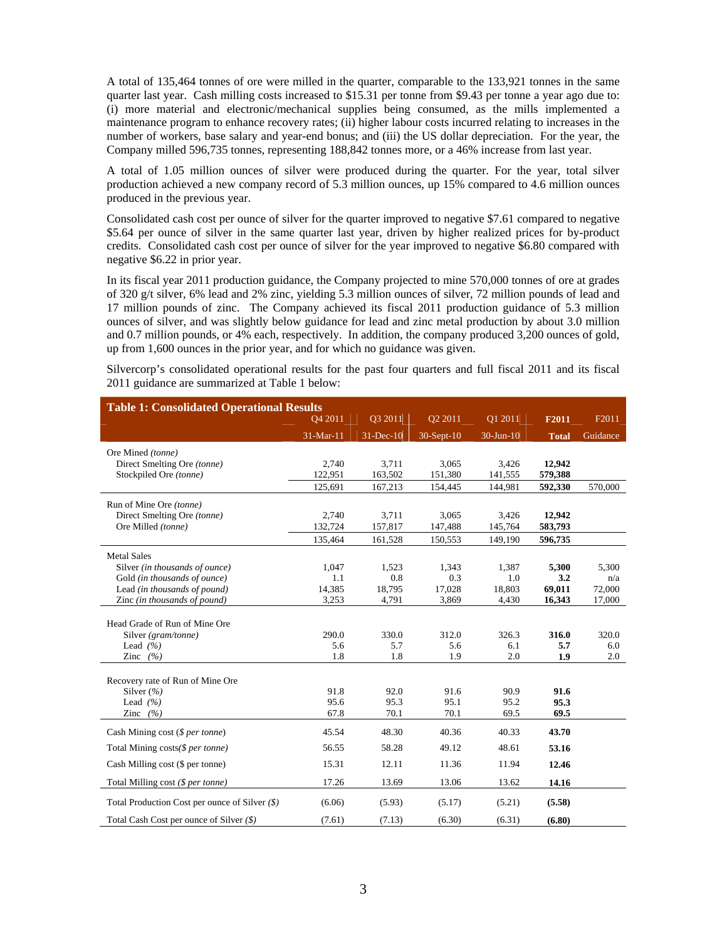A total of 135,464 tonnes of ore were milled in the quarter, comparable to the 133,921 tonnes in the same quarter last year. Cash milling costs increased to \$15.31 per tonne from \$9.43 per tonne a year ago due to: (i) more material and electronic/mechanical supplies being consumed, as the mills implemented a maintenance program to enhance recovery rates; (ii) higher labour costs incurred relating to increases in the number of workers, base salary and year-end bonus; and (iii) the US dollar depreciation. For the year, the Company milled 596,735 tonnes, representing 188,842 tonnes more, or a 46% increase from last year.

A total of 1.05 million ounces of silver were produced during the quarter. For the year, total silver production achieved a new company record of 5.3 million ounces, up 15% compared to 4.6 million ounces produced in the previous year.

Consolidated cash cost per ounce of silver for the quarter improved to negative \$7.61 compared to negative \$5.64 per ounce of silver in the same quarter last year, driven by higher realized prices for by-product credits. Consolidated cash cost per ounce of silver for the year improved to negative \$6.80 compared with negative \$6.22 in prior year.

In its fiscal year 2011 production guidance, the Company projected to mine 570,000 tonnes of ore at grades of 320 g/t silver, 6% lead and 2% zinc, yielding 5.3 million ounces of silver, 72 million pounds of lead and 17 million pounds of zinc. The Company achieved its fiscal 2011 production guidance of 5.3 million ounces of silver, and was slightly below guidance for lead and zinc metal production by about 3.0 million and 0.7 million pounds, or 4% each, respectively. In addition, the company produced 3,200 ounces of gold, up from 1,600 ounces in the prior year, and for which no guidance was given.

Silvercorp's consolidated operational results for the past four quarters and full fiscal 2011 and its fiscal 2011 guidance are summarized at Table 1 below:

| <b>Table 1: Consolidated Operational Results</b> |           |             |              |               |              |          |
|--------------------------------------------------|-----------|-------------|--------------|---------------|--------------|----------|
|                                                  | Q4 2011   | Q3 2011     | Q2 2011      | Q1 2011       | F2011        | F2011    |
|                                                  | 31-Mar-11 | $31-Dec-10$ | $30-Sept-10$ | $30 - Jun-10$ | <b>Total</b> | Guidance |
| Ore Mined (tonne)                                |           |             |              |               |              |          |
| Direct Smelting Ore (tonne)                      | 2,740     | 3,711       | 3,065        | 3,426         | 12,942       |          |
| Stockpiled Ore (tonne)                           | 122,951   | 163,502     | 151,380      | 141,555       | 579,388      |          |
|                                                  | 125,691   | 167,213     | 154,445      | 144,981       | 592,330      | 570,000  |
| Run of Mine Ore (tonne)                          |           |             |              |               |              |          |
| Direct Smelting Ore (tonne)                      | 2,740     | 3,711       | 3,065        | 3,426         | 12,942       |          |
| Ore Milled (tonne)                               | 132,724   | 157,817     | 147,488      | 145,764       | 583,793      |          |
|                                                  | 135,464   | 161,528     | 150,553      | 149,190       | 596,735      |          |
| <b>Metal Sales</b>                               |           |             |              |               |              |          |
| Silver (in thousands of ounce)                   | 1,047     | 1,523       | 1,343        | 1,387         | 5,300        | 5.300    |
| Gold (in thousands of ounce)                     | 1.1       | 0.8         | 0.3          | 1.0           | 3.2          | n/a      |
| Lead (in thousands of pound)                     | 14,385    | 18,795      | 17,028       | 18,803        | 69,011       | 72,000   |
| Zinc (in thousands of pound)                     | 3,253     | 4,791       | 3,869        | 4,430         | 16,343       | 17,000   |
|                                                  |           |             |              |               |              |          |
| Head Grade of Run of Mine Ore                    |           |             |              |               |              |          |
| Silver (gram/tonne)                              | 290.0     | 330.0       | 312.0        | 326.3         | 316.0        | 320.0    |
| Lead $(%$                                        | 5.6       | 5.7         | 5.6          | 6.1           | 5.7          | 6.0      |
| Zinc $(%$                                        | 1.8       | 1.8         | 1.9          | 2.0           | 1.9          | 2.0      |
| Recovery rate of Run of Mine Ore                 |           |             |              |               |              |          |
| Silver $(\% )$                                   | 91.8      | 92.0        | 91.6         | 90.9          | 91.6         |          |
| Lead $(%$                                        | 95.6      | 95.3        | 95.1         | 95.2          | 95.3         |          |
| Zinc $(%$                                        | 67.8      | 70.1        | 70.1         | 69.5          | 69.5         |          |
| Cash Mining cost $(§ per tonne)$                 | 45.54     | 48.30       | 40.36        | 40.33         | 43.70        |          |
| Total Mining costs(\$ per tonne)                 | 56.55     | 58.28       | 49.12        | 48.61         | 53.16        |          |
| Cash Milling cost (\$ per tonne)                 | 15.31     | 12.11       | 11.36        | 11.94         | 12.46        |          |
| Total Milling cost (\$ per tonne)                | 17.26     | 13.69       | 13.06        | 13.62         | 14.16        |          |
| Total Production Cost per ounce of Silver $(\$)$ | (6.06)    | (5.93)      | (5.17)       | (5.21)        | (5.58)       |          |
| Total Cash Cost per ounce of Silver $(\$)$       | (7.61)    | (7.13)      | (6.30)       | (6.31)        | (6.80)       |          |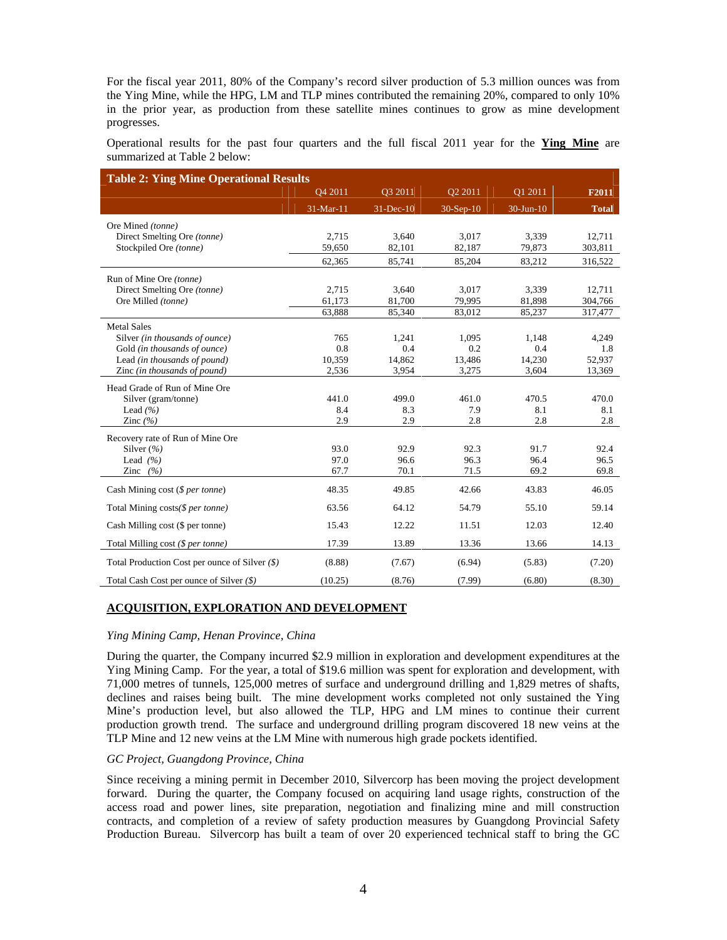For the fiscal year 2011, 80% of the Company's record silver production of 5.3 million ounces was from the Ying Mine, while the HPG, LM and TLP mines contributed the remaining 20%, compared to only 10% in the prior year, as production from these satellite mines continues to grow as mine development progresses.

Operational results for the past four quarters and the full fiscal 2011 year for the **Ying Mine** are summarized at Table 2 below:

| <b>Table 2: Ying Mine Operational Results</b>    |           |              |             |             |              |
|--------------------------------------------------|-----------|--------------|-------------|-------------|--------------|
|                                                  | Q4 2011   | Q3 2011      | Q2 2011     | Q1 2011     | F2011        |
|                                                  | 31-Mar-11 | $31$ -Dec-10 | $30-Sep-10$ | $30-Jun-10$ | <b>Total</b> |
| Ore Mined (tonne)                                |           |              |             |             |              |
| Direct Smelting Ore (tonne)                      | 2,715     | 3,640        | 3,017       | 3,339       | 12,711       |
| Stockpiled Ore (tonne)                           | 59,650    | 82,101       | 82,187      | 79,873      | 303,811      |
|                                                  | 62,365    | 85,741       | 85,204      | 83,212      | 316,522      |
| Run of Mine Ore (tonne)                          |           |              |             |             |              |
| Direct Smelting Ore (tonne)                      | 2,715     | 3,640        | 3,017       | 3,339       | 12,711       |
| Ore Milled (tonne)                               | 61,173    | 81,700       | 79,995      | 81,898      | 304,766      |
|                                                  | 63,888    | 85,340       | 83,012      | 85,237      | 317,477      |
| <b>Metal Sales</b>                               |           |              |             |             |              |
| Silver (in thousands of ounce)                   | 765       | 1,241        | 1,095       | 1,148       | 4,249        |
| Gold (in thousands of ounce)                     | 0.8       | 0.4          | 0.2         | 0.4         | 1.8          |
| Lead (in thousands of pound)                     | 10,359    | 14,862       | 13,486      | 14,230      | 52,937       |
| Zinc (in thousands of pound)                     | 2,536     | 3,954        | 3,275       | 3,604       | 13,369       |
| Head Grade of Run of Mine Ore                    |           |              |             |             |              |
| Silver (gram/tonne)                              | 441.0     | 499.0        | 461.0       | 470.5       | 470.0        |
| Lead $(%$                                        | 8.4       | 8.3          | 7.9         | 8.1         | 8.1          |
| Zinc $(\% )$                                     | 2.9       | 2.9          | 2.8         | 2.8         | 2.8          |
| Recovery rate of Run of Mine Ore                 |           |              |             |             |              |
| Silver $(\% )$                                   | 93.0      | 92.9         | 92.3        | 91.7        | 92.4         |
| Lead $(%$                                        | 97.0      | 96.6         | 96.3        | 96.4        | 96.5         |
| Zinc $(%$                                        | 67.7      | 70.1         | 71.5        | 69.2        | 69.8         |
| Cash Mining cost $(§ per tonne)$                 | 48.35     | 49.85        | 42.66       | 43.83       | 46.05        |
| Total Mining costs(\$ per tonne)                 | 63.56     | 64.12        | 54.79       | 55.10       | 59.14        |
| Cash Milling cost (\$ per tonne)                 | 15.43     | 12.22        | 11.51       | 12.03       | 12.40        |
| Total Milling cost (\$ per tonne)                | 17.39     | 13.89        | 13.36       | 13.66       | 14.13        |
| Total Production Cost per ounce of Silver $(\$)$ | (8.88)    | (7.67)       | (6.94)      | (5.83)      | (7.20)       |
| Total Cash Cost per ounce of Silver (\$)         | (10.25)   | (8.76)       | (7.99)      | (6.80)      | (8.30)       |

#### **ACQUISITION, EXPLORATION AND DEVELOPMENT**

#### *Ying Mining Camp, Henan Province, China*

During the quarter, the Company incurred \$2.9 million in exploration and development expenditures at the Ying Mining Camp. For the year, a total of \$19.6 million was spent for exploration and development, with 71,000 metres of tunnels, 125,000 metres of surface and underground drilling and 1,829 metres of shafts, declines and raises being built. The mine development works completed not only sustained the Ying Mine's production level, but also allowed the TLP, HPG and LM mines to continue their current production growth trend. The surface and underground drilling program discovered 18 new veins at the TLP Mine and 12 new veins at the LM Mine with numerous high grade pockets identified.

#### *GC Project, Guangdong Province, China*

Since receiving a mining permit in December 2010, Silvercorp has been moving the project development forward. During the quarter, the Company focused on acquiring land usage rights, construction of the access road and power lines, site preparation, negotiation and finalizing mine and mill construction contracts, and completion of a review of safety production measures by Guangdong Provincial Safety Production Bureau. Silvercorp has built a team of over 20 experienced technical staff to bring the GC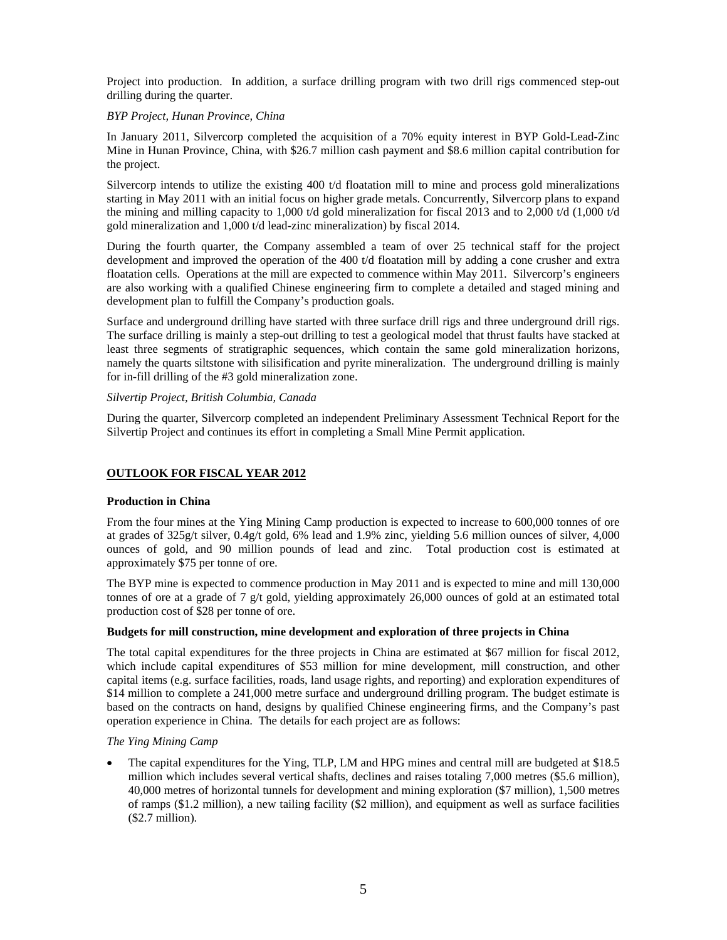Project into production. In addition, a surface drilling program with two drill rigs commenced step-out drilling during the quarter.

#### *BYP Project, Hunan Province, China*

In January 2011, Silvercorp completed the acquisition of a 70% equity interest in BYP Gold-Lead-Zinc Mine in Hunan Province, China, with \$26.7 million cash payment and \$8.6 million capital contribution for the project.

Silvercorp intends to utilize the existing 400 t/d floatation mill to mine and process gold mineralizations starting in May 2011 with an initial focus on higher grade metals. Concurrently, Silvercorp plans to expand the mining and milling capacity to 1,000 t/d gold mineralization for fiscal 2013 and to 2,000 t/d (1,000 t/d gold mineralization and 1,000 t/d lead-zinc mineralization) by fiscal 2014.

During the fourth quarter, the Company assembled a team of over 25 technical staff for the project development and improved the operation of the 400 t/d floatation mill by adding a cone crusher and extra floatation cells. Operations at the mill are expected to commence within May 2011. Silvercorp's engineers are also working with a qualified Chinese engineering firm to complete a detailed and staged mining and development plan to fulfill the Company's production goals.

Surface and underground drilling have started with three surface drill rigs and three underground drill rigs. The surface drilling is mainly a step-out drilling to test a geological model that thrust faults have stacked at least three segments of stratigraphic sequences, which contain the same gold mineralization horizons, namely the quarts siltstone with silisification and pyrite mineralization. The underground drilling is mainly for in-fill drilling of the #3 gold mineralization zone.

#### *Silvertip Project, British Columbia, Canada*

During the quarter, Silvercorp completed an independent Preliminary Assessment Technical Report for the Silvertip Project and continues its effort in completing a Small Mine Permit application.

#### **OUTLOOK FOR FISCAL YEAR 2012**

#### **Production in China**

From the four mines at the Ying Mining Camp production is expected to increase to 600,000 tonnes of ore at grades of 325g/t silver, 0.4g/t gold, 6% lead and 1.9% zinc, yielding 5.6 million ounces of silver, 4,000 ounces of gold, and 90 million pounds of lead and zinc. Total production cost is estimated at approximately \$75 per tonne of ore.

The BYP mine is expected to commence production in May 2011 and is expected to mine and mill 130,000 tonnes of ore at a grade of 7 g/t gold, yielding approximately 26,000 ounces of gold at an estimated total production cost of \$28 per tonne of ore.

#### **Budgets for mill construction, mine development and exploration of three projects in China**

The total capital expenditures for the three projects in China are estimated at \$67 million for fiscal 2012, which include capital expenditures of \$53 million for mine development, mill construction, and other capital items (e.g. surface facilities, roads, land usage rights, and reporting) and exploration expenditures of \$14 million to complete a 241,000 metre surface and underground drilling program. The budget estimate is based on the contracts on hand, designs by qualified Chinese engineering firms, and the Company's past operation experience in China. The details for each project are as follows:

#### *The Ying Mining Camp*

 The capital expenditures for the Ying, TLP, LM and HPG mines and central mill are budgeted at \$18.5 million which includes several vertical shafts, declines and raises totaling 7,000 metres (\$5.6 million), 40,000 metres of horizontal tunnels for development and mining exploration (\$7 million), 1,500 metres of ramps (\$1.2 million), a new tailing facility (\$2 million), and equipment as well as surface facilities (\$2.7 million).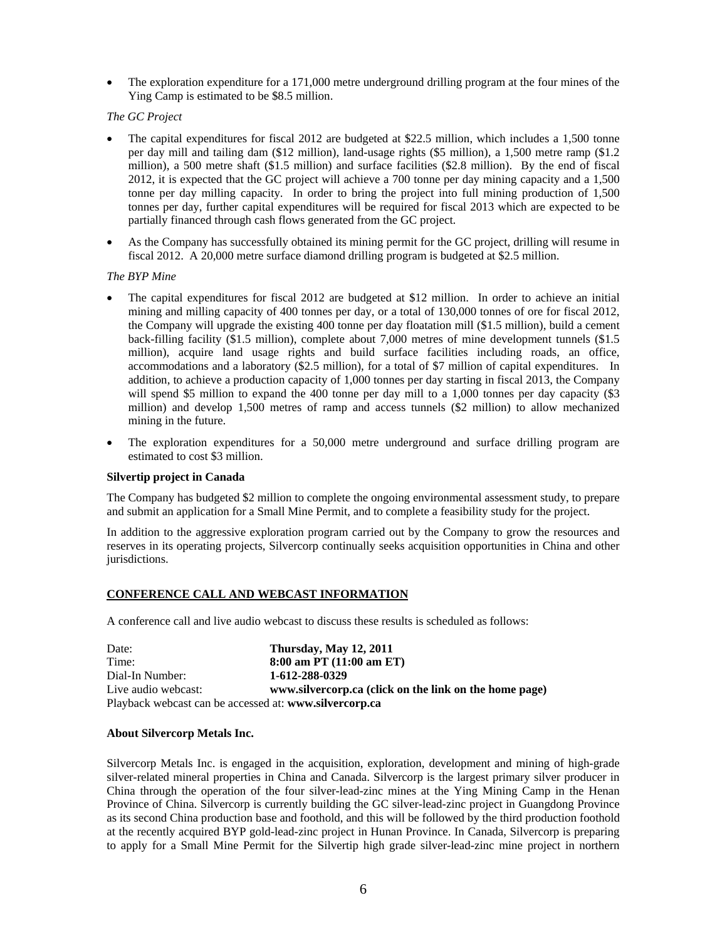The exploration expenditure for a 171,000 metre underground drilling program at the four mines of the Ying Camp is estimated to be \$8.5 million.

*The GC Project*

- The capital expenditures for fiscal 2012 are budgeted at \$22.5 million, which includes a 1,500 tonne per day mill and tailing dam (\$12 million), land-usage rights (\$5 million), a 1,500 metre ramp (\$1.2 million), a 500 metre shaft (\$1.5 million) and surface facilities (\$2.8 million). By the end of fiscal 2012, it is expected that the GC project will achieve a 700 tonne per day mining capacity and a 1,500 tonne per day milling capacity. In order to bring the project into full mining production of 1,500 tonnes per day, further capital expenditures will be required for fiscal 2013 which are expected to be partially financed through cash flows generated from the GC project.
- As the Company has successfully obtained its mining permit for the GC project, drilling will resume in fiscal 2012. A 20,000 metre surface diamond drilling program is budgeted at \$2.5 million.

#### *The BYP Mine*

- The capital expenditures for fiscal 2012 are budgeted at \$12 million. In order to achieve an initial mining and milling capacity of 400 tonnes per day, or a total of 130,000 tonnes of ore for fiscal 2012, the Company will upgrade the existing 400 tonne per day floatation mill (\$1.5 million), build a cement back-filling facility (\$1.5 million), complete about 7,000 metres of mine development tunnels (\$1.5 million), acquire land usage rights and build surface facilities including roads, an office, accommodations and a laboratory (\$2.5 million), for a total of \$7 million of capital expenditures. In addition, to achieve a production capacity of 1,000 tonnes per day starting in fiscal 2013, the Company will spend \$5 million to expand the 400 tonne per day mill to a 1,000 tonnes per day capacity (\$3 million) and develop 1,500 metres of ramp and access tunnels (\$2 million) to allow mechanized mining in the future.
- The exploration expenditures for a 50,000 metre underground and surface drilling program are estimated to cost \$3 million.

#### **Silvertip project in Canada**

The Company has budgeted \$2 million to complete the ongoing environmental assessment study, to prepare and submit an application for a Small Mine Permit, and to complete a feasibility study for the project.

In addition to the aggressive exploration program carried out by the Company to grow the resources and reserves in its operating projects, Silvercorp continually seeks acquisition opportunities in China and other jurisdictions.

#### **CONFERENCE CALL AND WEBCAST INFORMATION**

A conference call and live audio webcast to discuss these results is scheduled as follows:

| Date:               | <b>Thursday, May 12, 2011</b>                          |
|---------------------|--------------------------------------------------------|
| Time:               | $8:00$ am PT $(11:00$ am ET)                           |
| Dial-In Number:     | 1-612-288-0329                                         |
| Live audio webcast: | www.silvercorp.ca (click on the link on the home page) |
|                     | Playback webcast can be accessed at: www.silvercorp.ca |

#### **About Silvercorp Metals Inc.**

Silvercorp Metals Inc. is engaged in the acquisition, exploration, development and mining of high-grade silver-related mineral properties in China and Canada. Silvercorp is the largest primary silver producer in China through the operation of the four silver-lead-zinc mines at the Ying Mining Camp in the Henan Province of China. Silvercorp is currently building the GC silver-lead-zinc project in Guangdong Province as its second China production base and foothold, and this will be followed by the third production foothold at the recently acquired BYP gold-lead-zinc project in Hunan Province. In Canada, Silvercorp is preparing to apply for a Small Mine Permit for the Silvertip high grade silver-lead-zinc mine project in northern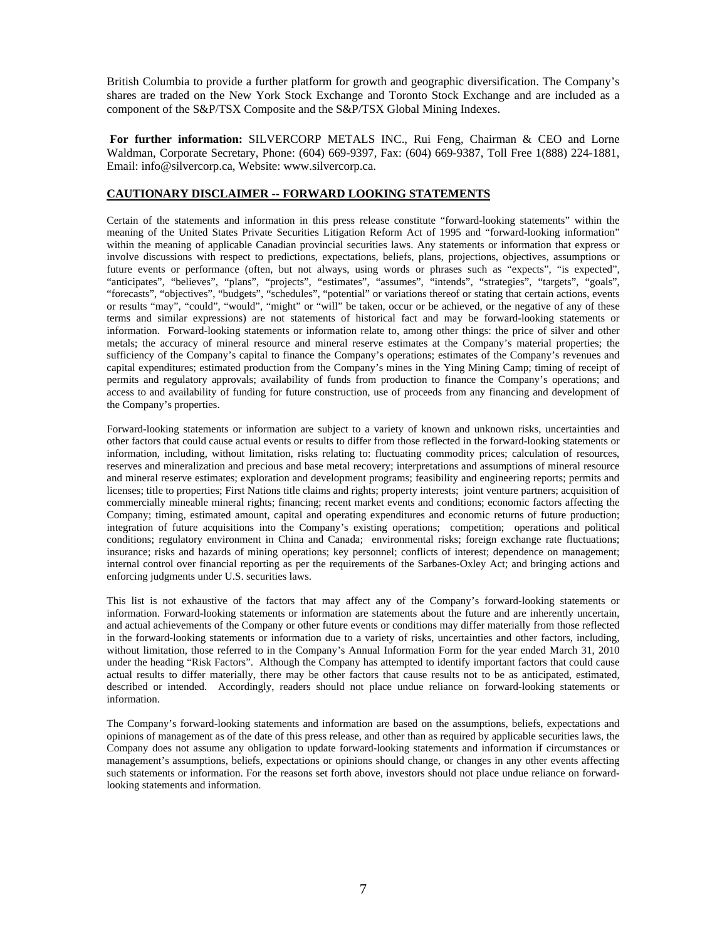British Columbia to provide a further platform for growth and geographic diversification. The Company's shares are traded on the New York Stock Exchange and Toronto Stock Exchange and are included as a component of the S&P/TSX Composite and the S&P/TSX Global Mining Indexes.

**For further information:** SILVERCORP METALS INC., Rui Feng, Chairman & CEO and Lorne Waldman, Corporate Secretary, Phone: (604) 669-9397, Fax: (604) 669-9387, Toll Free 1(888) 224-1881, Email: info@silvercorp.ca, Website: www.silvercorp.ca.

#### **CAUTIONARY DISCLAIMER -- FORWARD LOOKING STATEMENTS**

Certain of the statements and information in this press release constitute "forward-looking statements" within the meaning of the United States Private Securities Litigation Reform Act of 1995 and "forward-looking information" within the meaning of applicable Canadian provincial securities laws. Any statements or information that express or involve discussions with respect to predictions, expectations, beliefs, plans, projections, objectives, assumptions or future events or performance (often, but not always, using words or phrases such as "expects", "is expected", "anticipates", "believes", "plans", "projects", "estimates", "assumes", "intends", "strategies", "targets", "goals", "forecasts", "objectives", "budgets", "schedules", "potential" or variations thereof or stating that certain actions, events or results "may", "could", "would", "might" or "will" be taken, occur or be achieved, or the negative of any of these terms and similar expressions) are not statements of historical fact and may be forward-looking statements or information. Forward-looking statements or information relate to, among other things: the price of silver and other metals; the accuracy of mineral resource and mineral reserve estimates at the Company's material properties; the sufficiency of the Company's capital to finance the Company's operations; estimates of the Company's revenues and capital expenditures; estimated production from the Company's mines in the Ying Mining Camp; timing of receipt of permits and regulatory approvals; availability of funds from production to finance the Company's operations; and access to and availability of funding for future construction, use of proceeds from any financing and development of the Company's properties.

Forward-looking statements or information are subject to a variety of known and unknown risks, uncertainties and other factors that could cause actual events or results to differ from those reflected in the forward-looking statements or information, including, without limitation, risks relating to: fluctuating commodity prices; calculation of resources, reserves and mineralization and precious and base metal recovery; interpretations and assumptions of mineral resource and mineral reserve estimates; exploration and development programs; feasibility and engineering reports; permits and licenses; title to properties; First Nations title claims and rights; property interests; joint venture partners; acquisition of commercially mineable mineral rights; financing; recent market events and conditions; economic factors affecting the Company; timing, estimated amount, capital and operating expenditures and economic returns of future production; integration of future acquisitions into the Company's existing operations; competition; operations and political conditions; regulatory environment in China and Canada; environmental risks; foreign exchange rate fluctuations; insurance; risks and hazards of mining operations; key personnel; conflicts of interest; dependence on management; internal control over financial reporting as per the requirements of the Sarbanes-Oxley Act; and bringing actions and enforcing judgments under U.S. securities laws.

This list is not exhaustive of the factors that may affect any of the Company's forward-looking statements or information. Forward-looking statements or information are statements about the future and are inherently uncertain, and actual achievements of the Company or other future events or conditions may differ materially from those reflected in the forward-looking statements or information due to a variety of risks, uncertainties and other factors, including, without limitation, those referred to in the Company's Annual Information Form for the year ended March 31, 2010 under the heading "Risk Factors". Although the Company has attempted to identify important factors that could cause actual results to differ materially, there may be other factors that cause results not to be as anticipated, estimated, described or intended. Accordingly, readers should not place undue reliance on forward-looking statements or information.

The Company's forward-looking statements and information are based on the assumptions, beliefs, expectations and opinions of management as of the date of this press release, and other than as required by applicable securities laws, the Company does not assume any obligation to update forward-looking statements and information if circumstances or management's assumptions, beliefs, expectations or opinions should change, or changes in any other events affecting such statements or information. For the reasons set forth above, investors should not place undue reliance on forwardlooking statements and information.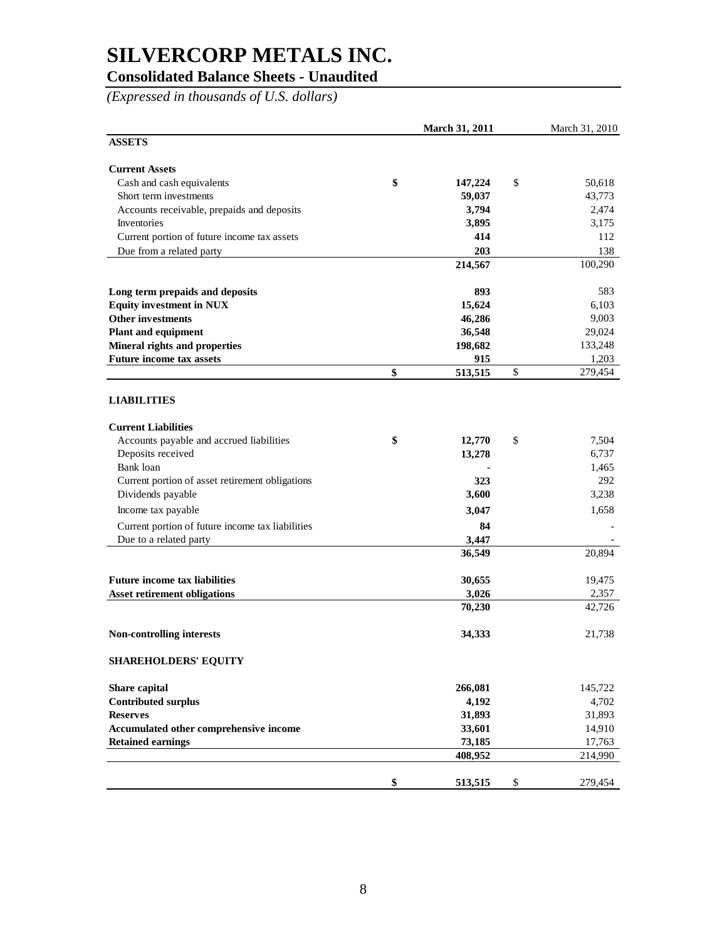### **Consolidated Balance Sheets - Unaudited**

*(Expressed in thousands of U.S. dollars)*

|                                                  | March 31, 2011 | March 31, 2010 |
|--------------------------------------------------|----------------|----------------|
| <b>ASSETS</b>                                    |                |                |
| <b>Current Assets</b>                            |                |                |
| Cash and cash equivalents                        | \$<br>147,224  | \$<br>50,618   |
| Short term investments                           | 59,037         | 43,773         |
| Accounts receivable, prepaids and deposits       | 3,794          | 2,474          |
| Inventories                                      | 3,895          | 3,175          |
| Current portion of future income tax assets      | 414            | 112            |
| Due from a related party                         | 203            | 138            |
|                                                  | 214,567        | 100,290        |
| Long term prepaids and deposits                  | 893            | 583            |
| <b>Equity investment in NUX</b>                  | 15,624         | 6,103          |
| <b>Other investments</b>                         | 46,286         | 9,003          |
| <b>Plant and equipment</b>                       | 36,548         | 29,024         |
| Mineral rights and properties                    | 198,682        | 133,248        |
| <b>Future income tax assets</b>                  | 915            | 1,203          |
|                                                  | \$<br>513,515  | \$<br>279,454  |
| <b>LIABILITIES</b>                               |                |                |
| <b>Current Liabilities</b>                       |                |                |
| Accounts payable and accrued liabilities         | \$<br>12,770   | \$<br>7,504    |
| Deposits received                                | 13,278         | 6,737          |
| Bank loan                                        |                | 1,465          |
| Current portion of asset retirement obligations  | 323            | 292            |
| Dividends payable                                | 3,600          | 3,238          |
| Income tax payable                               | 3,047          | 1,658          |
| Current portion of future income tax liabilities | 84             |                |
| Due to a related party                           | 3,447          |                |
|                                                  | 36,549         | 20,894         |
| <b>Future income tax liabilities</b>             | 30,655         | 19,475         |
| <b>Asset retirement obligations</b>              | 3,026          | 2,357          |
|                                                  | 70,230         | 42,726         |
| Non-controlling interests                        | 34,333         | 21,738         |
| <b>SHAREHOLDERS' EQUITY</b>                      |                |                |
| Share capital                                    | 266,081        | 145,722        |
| <b>Contributed surplus</b>                       | 4,192          | 4,702          |
| <b>Reserves</b>                                  | 31,893         | 31,893         |
| Accumulated other comprehensive income           | 33,601         | 14,910         |
| <b>Retained earnings</b>                         | 73,185         | 17,763         |
|                                                  | 408,952        | 214,990        |
|                                                  | \$<br>513,515  | \$<br>279,454  |
|                                                  |                |                |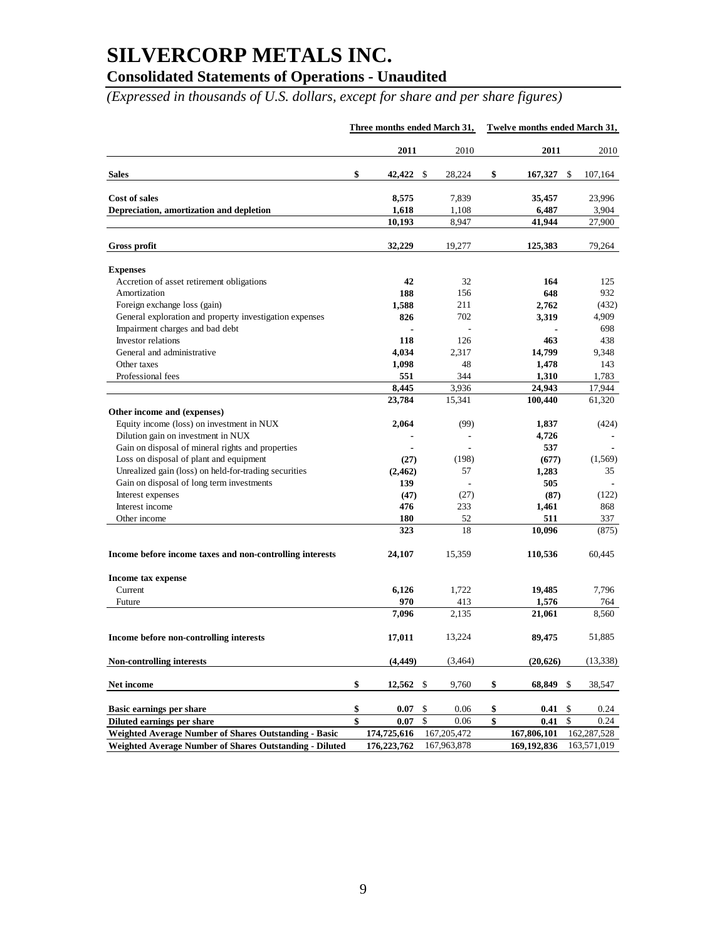## **Consolidated Statements of Operations - Unaudited**

*(Expressed in thousands of U.S. dollars, except for share and per share figures)*

|                                                          | Three months ended March 31, |             |    |             | Twelve months ended March 31, |               |    |             |
|----------------------------------------------------------|------------------------------|-------------|----|-------------|-------------------------------|---------------|----|-------------|
|                                                          |                              | 2011        |    | 2010        |                               | 2011          |    | 2010        |
| <b>Sales</b>                                             | \$                           | 42,422 \$   |    | 28,224      | \$                            | $167,327$ \$  |    | 107,164     |
| Cost of sales                                            |                              | 8,575       |    | 7,839       |                               | 35,457        |    | 23,996      |
| Depreciation, amortization and depletion                 |                              | 1,618       |    | 1,108       |                               | 6,487         |    | 3,904       |
|                                                          |                              | 10,193      |    | 8,947       |                               | 41,944        |    | 27,900      |
| Gross profit                                             |                              | 32,229      |    | 19,277      |                               | 125,383       |    | 79,264      |
| <b>Expenses</b>                                          |                              |             |    |             |                               |               |    |             |
| Accretion of asset retirement obligations                |                              | 42          |    | 32          |                               | 164           |    | 125         |
| Amortization                                             |                              | 188         |    | 156         |                               | 648           |    | 932         |
| Foreign exchange loss (gain)                             |                              | 1,588       |    | 211         |                               | 2,762         |    | (432)       |
| General exploration and property investigation expenses  |                              | 826         |    | 702         |                               | 3,319         |    | 4,909       |
| Impairment charges and bad debt                          |                              |             |    |             |                               |               |    | 698         |
| <b>Investor</b> relations                                |                              | 118         |    | 126         |                               | 463           |    | 438         |
| General and administrative                               |                              | 4,034       |    | 2.317       |                               | 14,799        |    | 9,348       |
| Other taxes                                              |                              | 1,098       |    | 48          |                               | 1,478         |    | 143         |
| Professional fees                                        |                              | 551         |    | 344         |                               | 1,310         |    | 1,783       |
|                                                          |                              | 8,445       |    | 3.936       |                               | 24,943        |    | 17,944      |
|                                                          |                              | 23,784      |    | 15,341      |                               | 100,440       |    | 61,320      |
| Other income and (expenses)                              |                              |             |    |             |                               |               |    |             |
| Equity income (loss) on investment in NUX                |                              | 2,064       |    | (99)        |                               | 1,837         |    | (424)       |
| Dilution gain on investment in NUX                       |                              |             |    |             |                               | 4,726         |    |             |
|                                                          |                              |             |    |             |                               | 537           |    |             |
| Gain on disposal of mineral rights and properties        |                              |             |    |             |                               |               |    |             |
| Loss on disposal of plant and equipment                  |                              | (27)        |    | (198)       |                               | (677)         |    | (1,569)     |
| Unrealized gain (loss) on held-for-trading securities    |                              | (2, 462)    |    | 57          |                               | 1,283         |    | 35          |
| Gain on disposal of long term investments                |                              | 139         |    |             |                               | 505           |    |             |
| Interest expenses                                        |                              | (47)        |    | (27)        |                               | (87)          |    | (122)       |
| Interest income                                          |                              | 476         |    | 233         |                               | 1,461         |    | 868         |
| Other income                                             |                              | 180         |    | 52          |                               | 511           |    | 337         |
|                                                          |                              | 323         |    | 18          |                               | 10,096        |    | (875)       |
| Income before income taxes and non-controlling interests |                              | 24,107      |    | 15,359      |                               | 110,536       |    | 60,445      |
| Income tax expense                                       |                              |             |    |             |                               |               |    |             |
| Current                                                  |                              | 6,126       |    | 1,722       |                               | 19,485        |    | 7,796       |
| Future                                                   |                              | 970         |    | 413         |                               | 1,576         |    | 764         |
|                                                          |                              | 7,096       |    | 2,135       |                               | 21,061        |    | 8,560       |
| Income before non-controlling interests                  |                              | 17,011      |    | 13,224      |                               | 89,475        |    | 51,885      |
| Non-controlling interests                                |                              | (4, 449)    |    | (3,464)     |                               | (20, 626)     |    | (13, 338)   |
| Net income                                               | \$                           | $12,562$ \$ |    | 9,760       | \$                            | 68,849 \$     |    | 38,547      |
|                                                          |                              |             |    |             |                               |               |    |             |
| Basic earnings per share                                 | \$                           | 0.07        | \$ | 0.06        | \$                            | 0.41          | \$ | 0.24        |
| Diluted earnings per share                               | \$                           | 0.07        | \$ | 0.06        | \$                            | 0.41          | \$ | 0.24        |
| Weighted Average Number of Shares Outstanding - Basic    |                              | 174,725,616 |    | 167,205,472 |                               | 167,806,101   |    | 162,287,528 |
| Weighted Average Number of Shares Outstanding - Diluted  |                              | 176,223,762 |    | 167,963,878 |                               | 169, 192, 836 |    | 163,571,019 |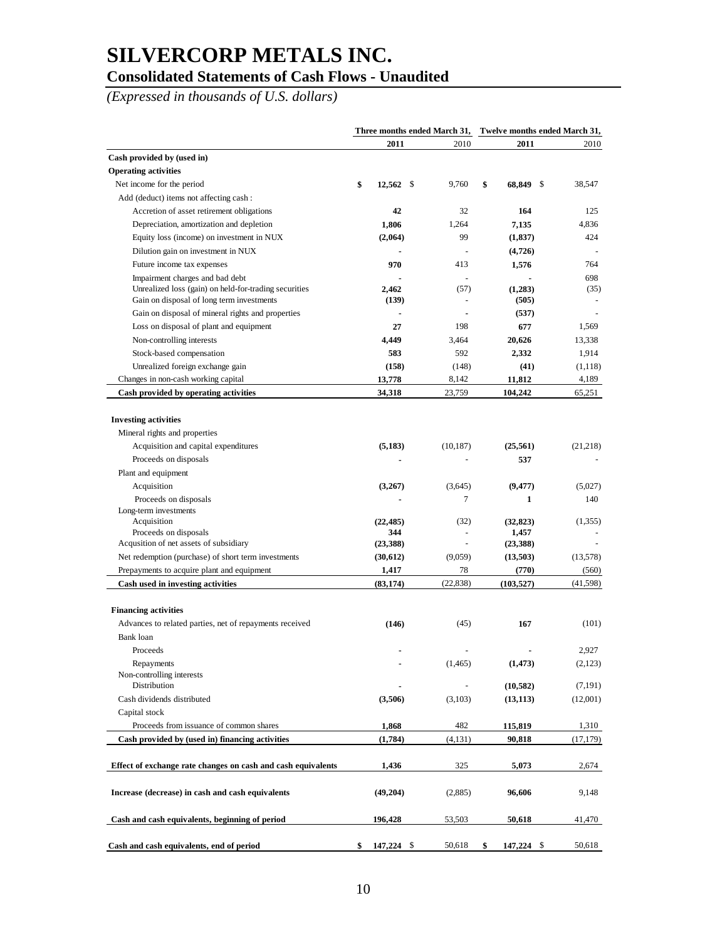### **Consolidated Statements of Cash Flows - Unaudited**

*(Expressed in thousands of U.S. dollars)*

| 2011<br>2010<br>2011<br>Cash provided by (used in)<br><b>Operating activities</b><br>\$<br>Net income for the period<br>$12,562$ \$<br>9,760<br>\$<br>68,849 \$<br>38,547<br>Add (deduct) items not affecting cash:<br>42<br>32<br>164<br>125<br>Accretion of asset retirement obligations<br>1,806<br>1,264<br>7,135<br>4,836<br>Depreciation, amortization and depletion<br>(2,064)<br>99<br>(1, 837)<br>424<br>Equity loss (income) on investment in NUX<br>Dilution gain on investment in NUX<br>(4,726)<br>970<br>413<br>764<br>Future income tax expenses<br>1,576<br>698<br>Impairment charges and bad debt<br>Unrealized loss (gain) on held-for-trading securities<br>2,462<br>(1,283)<br>(57)<br>Gain on disposal of long term investments<br>(505)<br>(139)<br>(537)<br>Gain on disposal of mineral rights and properties<br>Loss on disposal of plant and equipment<br>198<br>27<br>677<br>1,569<br>Non-controlling interests<br>4,449<br>20,626<br>13,338<br>3,464<br>Stock-based compensation<br>583<br>592<br>2,332<br>1,914<br>Unrealized foreign exchange gain<br>(158)<br>(148)<br>(41)<br>(1,118)<br>13,778<br>8,142<br>11,812<br>4,189<br>Changes in non-cash working capital<br>Cash provided by operating activities<br>34,318<br>104,242<br>23,759<br>65,251<br><b>Investing activities</b><br>Mineral rights and properties<br>Acquisition and capital expenditures<br>(5, 183)<br>(25, 561)<br>(21,218)<br>(10, 187)<br>537<br>Proceeds on disposals<br>Plant and equipment<br>Acquisition<br>(3,267)<br>(3,645)<br>(9, 477)<br>(5,027)<br>7<br>1<br>140<br>Proceeds on disposals<br>Long-term investments<br>Acquisition<br>(22, 485)<br>(32)<br>(32, 823)<br>Proceeds on disposals<br>344<br>1,457<br>Acqusition of net assets of subsidiary<br>(23, 388)<br>(23, 388)<br>(9,059)<br>(13,578)<br>Net redemption (purchase) of short term investments<br>(30,612)<br>(13,503)<br>1,417<br>78<br>(770)<br>Prepayments to acquire plant and equipment<br>(560)<br>(83, 174)<br>(22, 838)<br>(103, 527)<br>Cash used in investing activities<br>(41,598)<br><b>Financing activities</b><br>(146)<br>167<br>Advances to related parties, net of repayments received<br>(45)<br>(101)<br>Bank loan<br>2,927<br>Proceeds<br>Repayments<br>(1, 473)<br>(2,123)<br>(1,465)<br>Non-controlling interests<br>Distribution<br>(10, 582)<br>Cash dividends distributed<br>(3,506)<br>(3,103)<br>(13, 113)<br>Capital stock<br>Proceeds from issuance of common shares<br>482<br>1,868<br>115,819<br>Cash provided by (used in) financing activities<br>(1,784)<br>(4,131)<br>90,818<br>325<br>5,073<br>2,674<br>Effect of exchange rate changes on cash and cash equivalents<br>1,436<br>Increase (decrease) in cash and cash equivalents<br>(2,885)<br>96,606<br>9,148<br>(49,204)<br>196,428<br>53,503<br>Cash and cash equivalents, beginning of period<br>50,618<br>Cash and cash equivalents, end of period<br>\$<br>147,224 \$<br>50,618<br>\$<br>147,224 \$<br>50,618 | Three months ended March 31, Twelve months ended March 31, |  |  |  |  |           |
|--------------------------------------------------------------------------------------------------------------------------------------------------------------------------------------------------------------------------------------------------------------------------------------------------------------------------------------------------------------------------------------------------------------------------------------------------------------------------------------------------------------------------------------------------------------------------------------------------------------------------------------------------------------------------------------------------------------------------------------------------------------------------------------------------------------------------------------------------------------------------------------------------------------------------------------------------------------------------------------------------------------------------------------------------------------------------------------------------------------------------------------------------------------------------------------------------------------------------------------------------------------------------------------------------------------------------------------------------------------------------------------------------------------------------------------------------------------------------------------------------------------------------------------------------------------------------------------------------------------------------------------------------------------------------------------------------------------------------------------------------------------------------------------------------------------------------------------------------------------------------------------------------------------------------------------------------------------------------------------------------------------------------------------------------------------------------------------------------------------------------------------------------------------------------------------------------------------------------------------------------------------------------------------------------------------------------------------------------------------------------------------------------------------------------------------------------------------------------------------------------------------------------------------------------------------------------------------------------------------------------------------------------------------------------------------------------------------------------------------------------------------------------------------------------------------------------------------------------------------------------------------------------------------------------------------------------------------------------------------------|------------------------------------------------------------|--|--|--|--|-----------|
|                                                                                                                                                                                                                                                                                                                                                                                                                                                                                                                                                                                                                                                                                                                                                                                                                                                                                                                                                                                                                                                                                                                                                                                                                                                                                                                                                                                                                                                                                                                                                                                                                                                                                                                                                                                                                                                                                                                                                                                                                                                                                                                                                                                                                                                                                                                                                                                                                                                                                                                                                                                                                                                                                                                                                                                                                                                                                                                                                                                            |                                                            |  |  |  |  | 2010      |
|                                                                                                                                                                                                                                                                                                                                                                                                                                                                                                                                                                                                                                                                                                                                                                                                                                                                                                                                                                                                                                                                                                                                                                                                                                                                                                                                                                                                                                                                                                                                                                                                                                                                                                                                                                                                                                                                                                                                                                                                                                                                                                                                                                                                                                                                                                                                                                                                                                                                                                                                                                                                                                                                                                                                                                                                                                                                                                                                                                                            |                                                            |  |  |  |  |           |
|                                                                                                                                                                                                                                                                                                                                                                                                                                                                                                                                                                                                                                                                                                                                                                                                                                                                                                                                                                                                                                                                                                                                                                                                                                                                                                                                                                                                                                                                                                                                                                                                                                                                                                                                                                                                                                                                                                                                                                                                                                                                                                                                                                                                                                                                                                                                                                                                                                                                                                                                                                                                                                                                                                                                                                                                                                                                                                                                                                                            |                                                            |  |  |  |  |           |
|                                                                                                                                                                                                                                                                                                                                                                                                                                                                                                                                                                                                                                                                                                                                                                                                                                                                                                                                                                                                                                                                                                                                                                                                                                                                                                                                                                                                                                                                                                                                                                                                                                                                                                                                                                                                                                                                                                                                                                                                                                                                                                                                                                                                                                                                                                                                                                                                                                                                                                                                                                                                                                                                                                                                                                                                                                                                                                                                                                                            |                                                            |  |  |  |  |           |
|                                                                                                                                                                                                                                                                                                                                                                                                                                                                                                                                                                                                                                                                                                                                                                                                                                                                                                                                                                                                                                                                                                                                                                                                                                                                                                                                                                                                                                                                                                                                                                                                                                                                                                                                                                                                                                                                                                                                                                                                                                                                                                                                                                                                                                                                                                                                                                                                                                                                                                                                                                                                                                                                                                                                                                                                                                                                                                                                                                                            |                                                            |  |  |  |  |           |
|                                                                                                                                                                                                                                                                                                                                                                                                                                                                                                                                                                                                                                                                                                                                                                                                                                                                                                                                                                                                                                                                                                                                                                                                                                                                                                                                                                                                                                                                                                                                                                                                                                                                                                                                                                                                                                                                                                                                                                                                                                                                                                                                                                                                                                                                                                                                                                                                                                                                                                                                                                                                                                                                                                                                                                                                                                                                                                                                                                                            |                                                            |  |  |  |  |           |
|                                                                                                                                                                                                                                                                                                                                                                                                                                                                                                                                                                                                                                                                                                                                                                                                                                                                                                                                                                                                                                                                                                                                                                                                                                                                                                                                                                                                                                                                                                                                                                                                                                                                                                                                                                                                                                                                                                                                                                                                                                                                                                                                                                                                                                                                                                                                                                                                                                                                                                                                                                                                                                                                                                                                                                                                                                                                                                                                                                                            |                                                            |  |  |  |  |           |
|                                                                                                                                                                                                                                                                                                                                                                                                                                                                                                                                                                                                                                                                                                                                                                                                                                                                                                                                                                                                                                                                                                                                                                                                                                                                                                                                                                                                                                                                                                                                                                                                                                                                                                                                                                                                                                                                                                                                                                                                                                                                                                                                                                                                                                                                                                                                                                                                                                                                                                                                                                                                                                                                                                                                                                                                                                                                                                                                                                                            |                                                            |  |  |  |  |           |
|                                                                                                                                                                                                                                                                                                                                                                                                                                                                                                                                                                                                                                                                                                                                                                                                                                                                                                                                                                                                                                                                                                                                                                                                                                                                                                                                                                                                                                                                                                                                                                                                                                                                                                                                                                                                                                                                                                                                                                                                                                                                                                                                                                                                                                                                                                                                                                                                                                                                                                                                                                                                                                                                                                                                                                                                                                                                                                                                                                                            |                                                            |  |  |  |  |           |
|                                                                                                                                                                                                                                                                                                                                                                                                                                                                                                                                                                                                                                                                                                                                                                                                                                                                                                                                                                                                                                                                                                                                                                                                                                                                                                                                                                                                                                                                                                                                                                                                                                                                                                                                                                                                                                                                                                                                                                                                                                                                                                                                                                                                                                                                                                                                                                                                                                                                                                                                                                                                                                                                                                                                                                                                                                                                                                                                                                                            |                                                            |  |  |  |  |           |
|                                                                                                                                                                                                                                                                                                                                                                                                                                                                                                                                                                                                                                                                                                                                                                                                                                                                                                                                                                                                                                                                                                                                                                                                                                                                                                                                                                                                                                                                                                                                                                                                                                                                                                                                                                                                                                                                                                                                                                                                                                                                                                                                                                                                                                                                                                                                                                                                                                                                                                                                                                                                                                                                                                                                                                                                                                                                                                                                                                                            |                                                            |  |  |  |  | (35)      |
|                                                                                                                                                                                                                                                                                                                                                                                                                                                                                                                                                                                                                                                                                                                                                                                                                                                                                                                                                                                                                                                                                                                                                                                                                                                                                                                                                                                                                                                                                                                                                                                                                                                                                                                                                                                                                                                                                                                                                                                                                                                                                                                                                                                                                                                                                                                                                                                                                                                                                                                                                                                                                                                                                                                                                                                                                                                                                                                                                                                            |                                                            |  |  |  |  |           |
|                                                                                                                                                                                                                                                                                                                                                                                                                                                                                                                                                                                                                                                                                                                                                                                                                                                                                                                                                                                                                                                                                                                                                                                                                                                                                                                                                                                                                                                                                                                                                                                                                                                                                                                                                                                                                                                                                                                                                                                                                                                                                                                                                                                                                                                                                                                                                                                                                                                                                                                                                                                                                                                                                                                                                                                                                                                                                                                                                                                            |                                                            |  |  |  |  |           |
|                                                                                                                                                                                                                                                                                                                                                                                                                                                                                                                                                                                                                                                                                                                                                                                                                                                                                                                                                                                                                                                                                                                                                                                                                                                                                                                                                                                                                                                                                                                                                                                                                                                                                                                                                                                                                                                                                                                                                                                                                                                                                                                                                                                                                                                                                                                                                                                                                                                                                                                                                                                                                                                                                                                                                                                                                                                                                                                                                                                            |                                                            |  |  |  |  |           |
|                                                                                                                                                                                                                                                                                                                                                                                                                                                                                                                                                                                                                                                                                                                                                                                                                                                                                                                                                                                                                                                                                                                                                                                                                                                                                                                                                                                                                                                                                                                                                                                                                                                                                                                                                                                                                                                                                                                                                                                                                                                                                                                                                                                                                                                                                                                                                                                                                                                                                                                                                                                                                                                                                                                                                                                                                                                                                                                                                                                            |                                                            |  |  |  |  |           |
|                                                                                                                                                                                                                                                                                                                                                                                                                                                                                                                                                                                                                                                                                                                                                                                                                                                                                                                                                                                                                                                                                                                                                                                                                                                                                                                                                                                                                                                                                                                                                                                                                                                                                                                                                                                                                                                                                                                                                                                                                                                                                                                                                                                                                                                                                                                                                                                                                                                                                                                                                                                                                                                                                                                                                                                                                                                                                                                                                                                            |                                                            |  |  |  |  |           |
|                                                                                                                                                                                                                                                                                                                                                                                                                                                                                                                                                                                                                                                                                                                                                                                                                                                                                                                                                                                                                                                                                                                                                                                                                                                                                                                                                                                                                                                                                                                                                                                                                                                                                                                                                                                                                                                                                                                                                                                                                                                                                                                                                                                                                                                                                                                                                                                                                                                                                                                                                                                                                                                                                                                                                                                                                                                                                                                                                                                            |                                                            |  |  |  |  |           |
|                                                                                                                                                                                                                                                                                                                                                                                                                                                                                                                                                                                                                                                                                                                                                                                                                                                                                                                                                                                                                                                                                                                                                                                                                                                                                                                                                                                                                                                                                                                                                                                                                                                                                                                                                                                                                                                                                                                                                                                                                                                                                                                                                                                                                                                                                                                                                                                                                                                                                                                                                                                                                                                                                                                                                                                                                                                                                                                                                                                            |                                                            |  |  |  |  |           |
|                                                                                                                                                                                                                                                                                                                                                                                                                                                                                                                                                                                                                                                                                                                                                                                                                                                                                                                                                                                                                                                                                                                                                                                                                                                                                                                                                                                                                                                                                                                                                                                                                                                                                                                                                                                                                                                                                                                                                                                                                                                                                                                                                                                                                                                                                                                                                                                                                                                                                                                                                                                                                                                                                                                                                                                                                                                                                                                                                                                            |                                                            |  |  |  |  |           |
|                                                                                                                                                                                                                                                                                                                                                                                                                                                                                                                                                                                                                                                                                                                                                                                                                                                                                                                                                                                                                                                                                                                                                                                                                                                                                                                                                                                                                                                                                                                                                                                                                                                                                                                                                                                                                                                                                                                                                                                                                                                                                                                                                                                                                                                                                                                                                                                                                                                                                                                                                                                                                                                                                                                                                                                                                                                                                                                                                                                            |                                                            |  |  |  |  |           |
|                                                                                                                                                                                                                                                                                                                                                                                                                                                                                                                                                                                                                                                                                                                                                                                                                                                                                                                                                                                                                                                                                                                                                                                                                                                                                                                                                                                                                                                                                                                                                                                                                                                                                                                                                                                                                                                                                                                                                                                                                                                                                                                                                                                                                                                                                                                                                                                                                                                                                                                                                                                                                                                                                                                                                                                                                                                                                                                                                                                            |                                                            |  |  |  |  |           |
|                                                                                                                                                                                                                                                                                                                                                                                                                                                                                                                                                                                                                                                                                                                                                                                                                                                                                                                                                                                                                                                                                                                                                                                                                                                                                                                                                                                                                                                                                                                                                                                                                                                                                                                                                                                                                                                                                                                                                                                                                                                                                                                                                                                                                                                                                                                                                                                                                                                                                                                                                                                                                                                                                                                                                                                                                                                                                                                                                                                            |                                                            |  |  |  |  |           |
|                                                                                                                                                                                                                                                                                                                                                                                                                                                                                                                                                                                                                                                                                                                                                                                                                                                                                                                                                                                                                                                                                                                                                                                                                                                                                                                                                                                                                                                                                                                                                                                                                                                                                                                                                                                                                                                                                                                                                                                                                                                                                                                                                                                                                                                                                                                                                                                                                                                                                                                                                                                                                                                                                                                                                                                                                                                                                                                                                                                            |                                                            |  |  |  |  |           |
|                                                                                                                                                                                                                                                                                                                                                                                                                                                                                                                                                                                                                                                                                                                                                                                                                                                                                                                                                                                                                                                                                                                                                                                                                                                                                                                                                                                                                                                                                                                                                                                                                                                                                                                                                                                                                                                                                                                                                                                                                                                                                                                                                                                                                                                                                                                                                                                                                                                                                                                                                                                                                                                                                                                                                                                                                                                                                                                                                                                            |                                                            |  |  |  |  |           |
|                                                                                                                                                                                                                                                                                                                                                                                                                                                                                                                                                                                                                                                                                                                                                                                                                                                                                                                                                                                                                                                                                                                                                                                                                                                                                                                                                                                                                                                                                                                                                                                                                                                                                                                                                                                                                                                                                                                                                                                                                                                                                                                                                                                                                                                                                                                                                                                                                                                                                                                                                                                                                                                                                                                                                                                                                                                                                                                                                                                            |                                                            |  |  |  |  |           |
|                                                                                                                                                                                                                                                                                                                                                                                                                                                                                                                                                                                                                                                                                                                                                                                                                                                                                                                                                                                                                                                                                                                                                                                                                                                                                                                                                                                                                                                                                                                                                                                                                                                                                                                                                                                                                                                                                                                                                                                                                                                                                                                                                                                                                                                                                                                                                                                                                                                                                                                                                                                                                                                                                                                                                                                                                                                                                                                                                                                            |                                                            |  |  |  |  |           |
|                                                                                                                                                                                                                                                                                                                                                                                                                                                                                                                                                                                                                                                                                                                                                                                                                                                                                                                                                                                                                                                                                                                                                                                                                                                                                                                                                                                                                                                                                                                                                                                                                                                                                                                                                                                                                                                                                                                                                                                                                                                                                                                                                                                                                                                                                                                                                                                                                                                                                                                                                                                                                                                                                                                                                                                                                                                                                                                                                                                            |                                                            |  |  |  |  |           |
|                                                                                                                                                                                                                                                                                                                                                                                                                                                                                                                                                                                                                                                                                                                                                                                                                                                                                                                                                                                                                                                                                                                                                                                                                                                                                                                                                                                                                                                                                                                                                                                                                                                                                                                                                                                                                                                                                                                                                                                                                                                                                                                                                                                                                                                                                                                                                                                                                                                                                                                                                                                                                                                                                                                                                                                                                                                                                                                                                                                            |                                                            |  |  |  |  | (1,355)   |
|                                                                                                                                                                                                                                                                                                                                                                                                                                                                                                                                                                                                                                                                                                                                                                                                                                                                                                                                                                                                                                                                                                                                                                                                                                                                                                                                                                                                                                                                                                                                                                                                                                                                                                                                                                                                                                                                                                                                                                                                                                                                                                                                                                                                                                                                                                                                                                                                                                                                                                                                                                                                                                                                                                                                                                                                                                                                                                                                                                                            |                                                            |  |  |  |  |           |
|                                                                                                                                                                                                                                                                                                                                                                                                                                                                                                                                                                                                                                                                                                                                                                                                                                                                                                                                                                                                                                                                                                                                                                                                                                                                                                                                                                                                                                                                                                                                                                                                                                                                                                                                                                                                                                                                                                                                                                                                                                                                                                                                                                                                                                                                                                                                                                                                                                                                                                                                                                                                                                                                                                                                                                                                                                                                                                                                                                                            |                                                            |  |  |  |  |           |
|                                                                                                                                                                                                                                                                                                                                                                                                                                                                                                                                                                                                                                                                                                                                                                                                                                                                                                                                                                                                                                                                                                                                                                                                                                                                                                                                                                                                                                                                                                                                                                                                                                                                                                                                                                                                                                                                                                                                                                                                                                                                                                                                                                                                                                                                                                                                                                                                                                                                                                                                                                                                                                                                                                                                                                                                                                                                                                                                                                                            |                                                            |  |  |  |  |           |
|                                                                                                                                                                                                                                                                                                                                                                                                                                                                                                                                                                                                                                                                                                                                                                                                                                                                                                                                                                                                                                                                                                                                                                                                                                                                                                                                                                                                                                                                                                                                                                                                                                                                                                                                                                                                                                                                                                                                                                                                                                                                                                                                                                                                                                                                                                                                                                                                                                                                                                                                                                                                                                                                                                                                                                                                                                                                                                                                                                                            |                                                            |  |  |  |  |           |
|                                                                                                                                                                                                                                                                                                                                                                                                                                                                                                                                                                                                                                                                                                                                                                                                                                                                                                                                                                                                                                                                                                                                                                                                                                                                                                                                                                                                                                                                                                                                                                                                                                                                                                                                                                                                                                                                                                                                                                                                                                                                                                                                                                                                                                                                                                                                                                                                                                                                                                                                                                                                                                                                                                                                                                                                                                                                                                                                                                                            |                                                            |  |  |  |  |           |
|                                                                                                                                                                                                                                                                                                                                                                                                                                                                                                                                                                                                                                                                                                                                                                                                                                                                                                                                                                                                                                                                                                                                                                                                                                                                                                                                                                                                                                                                                                                                                                                                                                                                                                                                                                                                                                                                                                                                                                                                                                                                                                                                                                                                                                                                                                                                                                                                                                                                                                                                                                                                                                                                                                                                                                                                                                                                                                                                                                                            |                                                            |  |  |  |  |           |
|                                                                                                                                                                                                                                                                                                                                                                                                                                                                                                                                                                                                                                                                                                                                                                                                                                                                                                                                                                                                                                                                                                                                                                                                                                                                                                                                                                                                                                                                                                                                                                                                                                                                                                                                                                                                                                                                                                                                                                                                                                                                                                                                                                                                                                                                                                                                                                                                                                                                                                                                                                                                                                                                                                                                                                                                                                                                                                                                                                                            |                                                            |  |  |  |  |           |
|                                                                                                                                                                                                                                                                                                                                                                                                                                                                                                                                                                                                                                                                                                                                                                                                                                                                                                                                                                                                                                                                                                                                                                                                                                                                                                                                                                                                                                                                                                                                                                                                                                                                                                                                                                                                                                                                                                                                                                                                                                                                                                                                                                                                                                                                                                                                                                                                                                                                                                                                                                                                                                                                                                                                                                                                                                                                                                                                                                                            |                                                            |  |  |  |  |           |
|                                                                                                                                                                                                                                                                                                                                                                                                                                                                                                                                                                                                                                                                                                                                                                                                                                                                                                                                                                                                                                                                                                                                                                                                                                                                                                                                                                                                                                                                                                                                                                                                                                                                                                                                                                                                                                                                                                                                                                                                                                                                                                                                                                                                                                                                                                                                                                                                                                                                                                                                                                                                                                                                                                                                                                                                                                                                                                                                                                                            |                                                            |  |  |  |  |           |
|                                                                                                                                                                                                                                                                                                                                                                                                                                                                                                                                                                                                                                                                                                                                                                                                                                                                                                                                                                                                                                                                                                                                                                                                                                                                                                                                                                                                                                                                                                                                                                                                                                                                                                                                                                                                                                                                                                                                                                                                                                                                                                                                                                                                                                                                                                                                                                                                                                                                                                                                                                                                                                                                                                                                                                                                                                                                                                                                                                                            |                                                            |  |  |  |  |           |
|                                                                                                                                                                                                                                                                                                                                                                                                                                                                                                                                                                                                                                                                                                                                                                                                                                                                                                                                                                                                                                                                                                                                                                                                                                                                                                                                                                                                                                                                                                                                                                                                                                                                                                                                                                                                                                                                                                                                                                                                                                                                                                                                                                                                                                                                                                                                                                                                                                                                                                                                                                                                                                                                                                                                                                                                                                                                                                                                                                                            |                                                            |  |  |  |  | (7,191)   |
|                                                                                                                                                                                                                                                                                                                                                                                                                                                                                                                                                                                                                                                                                                                                                                                                                                                                                                                                                                                                                                                                                                                                                                                                                                                                                                                                                                                                                                                                                                                                                                                                                                                                                                                                                                                                                                                                                                                                                                                                                                                                                                                                                                                                                                                                                                                                                                                                                                                                                                                                                                                                                                                                                                                                                                                                                                                                                                                                                                                            |                                                            |  |  |  |  | (12,001)  |
|                                                                                                                                                                                                                                                                                                                                                                                                                                                                                                                                                                                                                                                                                                                                                                                                                                                                                                                                                                                                                                                                                                                                                                                                                                                                                                                                                                                                                                                                                                                                                                                                                                                                                                                                                                                                                                                                                                                                                                                                                                                                                                                                                                                                                                                                                                                                                                                                                                                                                                                                                                                                                                                                                                                                                                                                                                                                                                                                                                                            |                                                            |  |  |  |  |           |
|                                                                                                                                                                                                                                                                                                                                                                                                                                                                                                                                                                                                                                                                                                                                                                                                                                                                                                                                                                                                                                                                                                                                                                                                                                                                                                                                                                                                                                                                                                                                                                                                                                                                                                                                                                                                                                                                                                                                                                                                                                                                                                                                                                                                                                                                                                                                                                                                                                                                                                                                                                                                                                                                                                                                                                                                                                                                                                                                                                                            |                                                            |  |  |  |  | 1,310     |
|                                                                                                                                                                                                                                                                                                                                                                                                                                                                                                                                                                                                                                                                                                                                                                                                                                                                                                                                                                                                                                                                                                                                                                                                                                                                                                                                                                                                                                                                                                                                                                                                                                                                                                                                                                                                                                                                                                                                                                                                                                                                                                                                                                                                                                                                                                                                                                                                                                                                                                                                                                                                                                                                                                                                                                                                                                                                                                                                                                                            |                                                            |  |  |  |  | (17, 179) |
|                                                                                                                                                                                                                                                                                                                                                                                                                                                                                                                                                                                                                                                                                                                                                                                                                                                                                                                                                                                                                                                                                                                                                                                                                                                                                                                                                                                                                                                                                                                                                                                                                                                                                                                                                                                                                                                                                                                                                                                                                                                                                                                                                                                                                                                                                                                                                                                                                                                                                                                                                                                                                                                                                                                                                                                                                                                                                                                                                                                            |                                                            |  |  |  |  |           |
|                                                                                                                                                                                                                                                                                                                                                                                                                                                                                                                                                                                                                                                                                                                                                                                                                                                                                                                                                                                                                                                                                                                                                                                                                                                                                                                                                                                                                                                                                                                                                                                                                                                                                                                                                                                                                                                                                                                                                                                                                                                                                                                                                                                                                                                                                                                                                                                                                                                                                                                                                                                                                                                                                                                                                                                                                                                                                                                                                                                            |                                                            |  |  |  |  |           |
|                                                                                                                                                                                                                                                                                                                                                                                                                                                                                                                                                                                                                                                                                                                                                                                                                                                                                                                                                                                                                                                                                                                                                                                                                                                                                                                                                                                                                                                                                                                                                                                                                                                                                                                                                                                                                                                                                                                                                                                                                                                                                                                                                                                                                                                                                                                                                                                                                                                                                                                                                                                                                                                                                                                                                                                                                                                                                                                                                                                            |                                                            |  |  |  |  |           |
|                                                                                                                                                                                                                                                                                                                                                                                                                                                                                                                                                                                                                                                                                                                                                                                                                                                                                                                                                                                                                                                                                                                                                                                                                                                                                                                                                                                                                                                                                                                                                                                                                                                                                                                                                                                                                                                                                                                                                                                                                                                                                                                                                                                                                                                                                                                                                                                                                                                                                                                                                                                                                                                                                                                                                                                                                                                                                                                                                                                            |                                                            |  |  |  |  | 41,470    |
|                                                                                                                                                                                                                                                                                                                                                                                                                                                                                                                                                                                                                                                                                                                                                                                                                                                                                                                                                                                                                                                                                                                                                                                                                                                                                                                                                                                                                                                                                                                                                                                                                                                                                                                                                                                                                                                                                                                                                                                                                                                                                                                                                                                                                                                                                                                                                                                                                                                                                                                                                                                                                                                                                                                                                                                                                                                                                                                                                                                            |                                                            |  |  |  |  |           |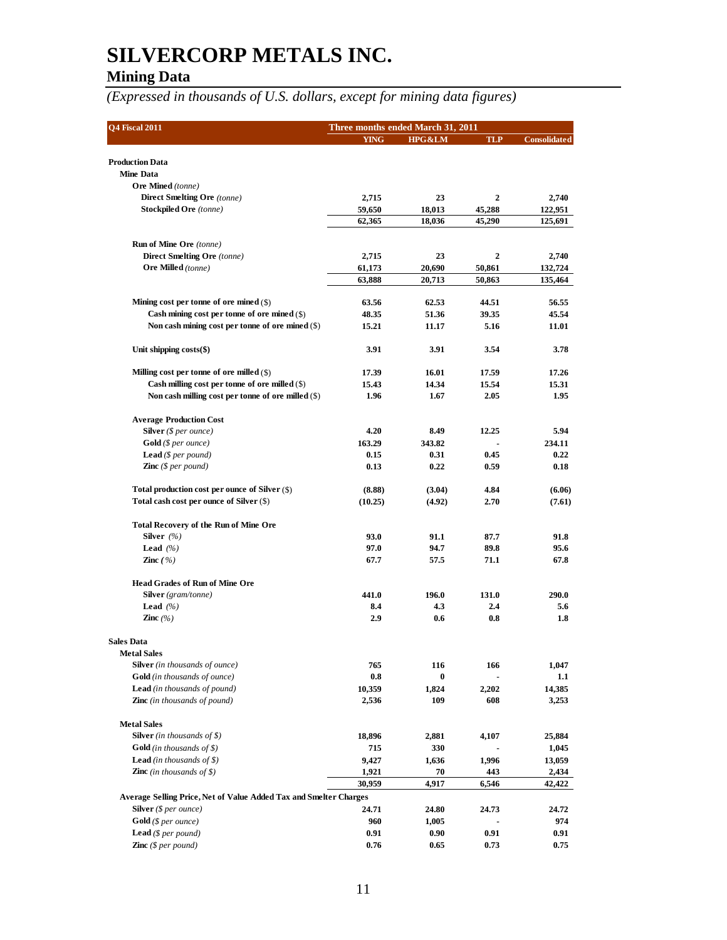## **Mining Data**

| Q4 Fiscal 2011                                                    | Three months ended March 31, 2011 |             |                         |                     |
|-------------------------------------------------------------------|-----------------------------------|-------------|-------------------------|---------------------|
|                                                                   | <b>YING</b>                       | HPG&LM      | <b>TLP</b>              | <b>Consolidated</b> |
| <b>Production Data</b>                                            |                                   |             |                         |                     |
| <b>Mine Data</b>                                                  |                                   |             |                         |                     |
| <b>Ore Mined</b> (tonne)                                          |                                   |             |                         |                     |
| Direct Smelting Ore (tonne)                                       | 2,715                             | 23          | 2                       | 2,740               |
| <b>Stockpiled Ore</b> (tonne)                                     | 59,650                            | 18,013      | 45,288                  | 122,951             |
|                                                                   | 62,365                            | 18,036      | 45,290                  | 125,691             |
| <b>Run of Mine Ore</b> (tonne)                                    |                                   |             |                         |                     |
| <b>Direct Smelting Ore</b> (tonne)                                | 2,715                             | 23          | $\overline{\mathbf{2}}$ | 2,740               |
| Ore Milled (tonne)                                                | 61,173                            | 20,690      | 50,861                  | 132,724             |
|                                                                   | 63,888                            | 20,713      | 50,863                  | 135,464             |
|                                                                   |                                   |             |                         |                     |
| Mining cost per tonne of ore mined $(\$)$                         | 63.56                             | 62.53       | 44.51                   | 56.55               |
| Cash mining cost per tonne of ore mined $(\$)$                    | 48.35                             | 51.36       | 39.35                   | 45.54               |
| Non cash mining cost per tonne of ore mined $(\$)$                | 15.21                             | 11.17       | 5.16                    | 11.01               |
| Unit shipping $costs(\text{$\$})$                                 | 3.91                              | 3.91        | 3.54                    | 3.78                |
| Milling cost per tonne of ore milled $(\$)$                       | 17.39                             | 16.01       | 17.59                   | 17.26               |
| Cash milling cost per tonne of ore milled $(\$)$                  | 15.43                             | 14.34       | 15.54                   | 15.31               |
| Non cash milling cost per tonne of ore milled $(\$)$              | 1.96                              | 1.67        | 2.05                    | 1.95                |
|                                                                   |                                   |             |                         |                     |
| <b>Average Production Cost</b><br><b>Silver</b> (\$ per ounce)    | 4.20                              | 8.49        | 12.25                   | 5.94                |
| $Gold$ (\$ per ounce)                                             | 163.29                            | 343.82      |                         | 234.11              |
| <b>Lead</b> (\$ per pound)                                        | 0.15                              | 0.31        | 0.45                    | 0.22                |
| <b>Zinc</b> (\$ per pound)                                        | 0.13                              | 0.22        | 0.59                    | 0.18                |
|                                                                   |                                   |             |                         |                     |
| Total production cost per ounce of Silver $(\$)$                  | (8.88)                            | (3.04)      | 4.84                    | (6.06)              |
| Total cash cost per ounce of Silver (\$)                          | (10.25)                           | (4.92)      | 2.70                    | (7.61)              |
| <b>Total Recovery of the Run of Mine Ore</b>                      |                                   |             |                         |                     |
| Silver $(%$                                                       | 93.0                              | 91.1        | 87.7                    | 91.8                |
| Lead $(%$                                                         | 97.0                              | 94.7        | 89.8                    | 95.6                |
| <b>Zinc</b> $(%)$                                                 | 67.7                              | 57.5        | 71.1                    | 67.8                |
| <b>Head Grades of Run of Mine Ore</b>                             |                                   |             |                         |                     |
| Silver (gram/tonne)                                               | 441.0                             | 196.0       | 131.0                   | 290.0               |
| <b>Lead</b> $(\%)$                                                | 8.4                               | 4.3         | 2.4                     | 5.6                 |
| Zinc $(%$                                                         | 2.9                               | 0.6         | 0.8                     | 1.8                 |
|                                                                   |                                   |             |                         |                     |
| <b>Sales Data</b><br><b>Metal Sales</b>                           |                                   |             |                         |                     |
| <b>Silver</b> (in thousands of ounce)                             | 765                               | 116         | 166                     | 1,047               |
| Gold (in thousands of ounce)                                      | 0.8                               | $\bf{0}$    |                         | $1.1\,$             |
| <b>Lead</b> (in thousands of pound)                               | 10,359                            | 1,824       | 2,202                   | 14,385              |
| <b>Zinc</b> (in thousands of pound)                               | 2,536                             | 109         | 608                     | 3,253               |
|                                                                   |                                   |             |                         |                     |
| <b>Metal Sales</b>                                                |                                   |             |                         |                     |
| <b>Silver</b> (in thousands of \$)                                | 18,896                            | 2,881       | 4,107                   | 25,884              |
| <b>Gold</b> (in thousands of $\$ )                                | 715                               | 330         |                         | 1,045               |
| <b>Lead</b> (in thousands of $\$$ )                               | 9,427                             | 1,636       | 1,996                   | 13,059              |
| <b>Zinc</b> (in thousands of \$)                                  | 1,921                             | 70<br>4,917 | 443                     | 2,434               |
| Average Selling Price, Net of Value Added Tax and Smelter Charges | 30,959                            |             | 6,546                   | 42,422              |
| <b>Silver</b> (\$ per ounce)                                      | 24.71                             | 24.80       | 24.73                   | 24.72               |
| $\text{Gold}$ (\$ per ounce)                                      | 960                               | 1,005       |                         | 974                 |
| <b>Lead</b> ( $$per pound$ )                                      | 0.91                              | 0.90        | 0.91                    | 0.91                |
| <b>Zinc</b> (\$ per pound)                                        | 0.76                              | 0.65        | 0.73                    | 0.75                |
|                                                                   |                                   |             |                         |                     |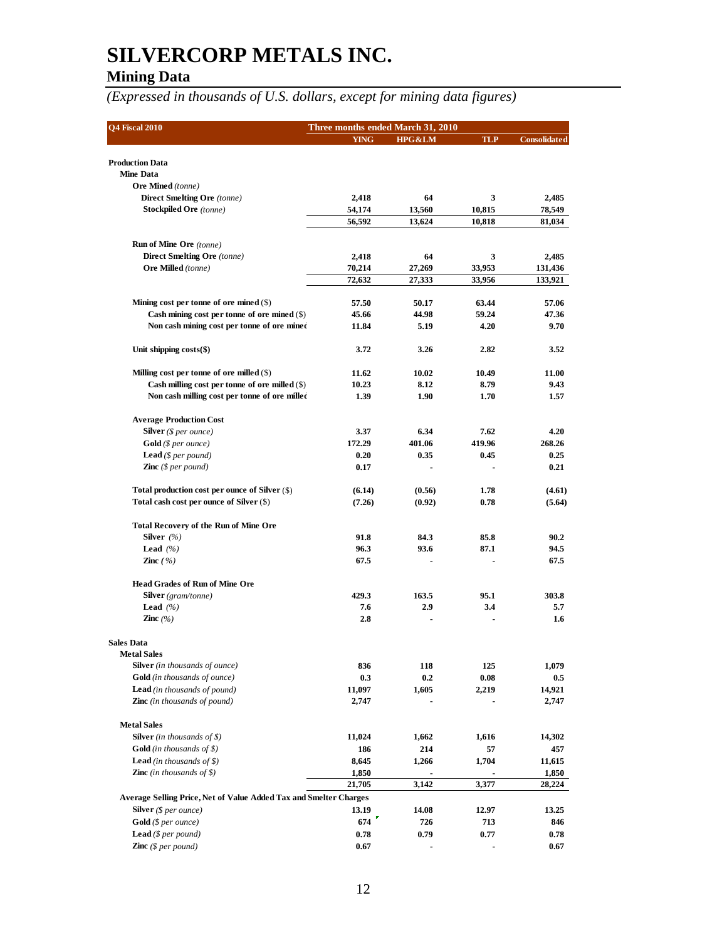## **Mining Data**

| <b>Q4 Fiscal 2010</b>                                                                         | Three months ended March 31, 2010 |                   |                  |                     |  |  |
|-----------------------------------------------------------------------------------------------|-----------------------------------|-------------------|------------------|---------------------|--|--|
|                                                                                               | <b>YING</b>                       | <b>HPG&amp;LM</b> | <b>TLP</b>       | <b>Consolidated</b> |  |  |
|                                                                                               |                                   |                   |                  |                     |  |  |
| <b>Production Data</b><br>Mine Data                                                           |                                   |                   |                  |                     |  |  |
| <b>Ore Mined</b> (tonne)                                                                      |                                   |                   |                  |                     |  |  |
| Direct Smelting Ore (tonne)                                                                   | 2,418                             | 64                | 3                | 2,485               |  |  |
| <b>Stockpiled Ore</b> (tonne)                                                                 | 54,174                            | 13,560            | 10,815           | 78,549              |  |  |
|                                                                                               | 56,592                            | 13,624            | 10,818           | 81,034              |  |  |
|                                                                                               |                                   |                   |                  |                     |  |  |
| <b>Run of Mine Ore</b> (tonne)                                                                |                                   |                   |                  |                     |  |  |
| Direct Smelting Ore (tonne)                                                                   | 2,418                             | 64                | 3                | 2,485               |  |  |
| Ore Milled (tonne)                                                                            | 70,214<br>72,632                  | 27,269<br>27,333  | 33,953<br>33,956 | 131,436<br>133,921  |  |  |
|                                                                                               |                                   |                   |                  |                     |  |  |
| Mining cost per tonne of ore mined $(\$)$                                                     | 57.50                             | 50.17             | 63.44            | 57.06               |  |  |
| Cash mining cost per tonne of ore mined $(\$)$                                                | 45.66                             | 44.98             | 59.24            | 47.36               |  |  |
| Non cash mining cost per tonne of ore mined                                                   | 11.84                             | 5.19              | 4.20             | 9.70                |  |  |
| Unit shipping $costs(\text{\$})$                                                              | 3.72                              | 3.26              | 2.82             | 3.52                |  |  |
|                                                                                               |                                   |                   |                  |                     |  |  |
| Milling cost per tonne of ore milled (\$)<br>Cash milling cost per tonne of ore milled $(\$)$ | 11.62                             | 10.02<br>8.12     | 10.49<br>8.79    | 11.00<br>9.43       |  |  |
| Non cash milling cost per tonne of ore milled                                                 | 10.23<br>1.39                     | 1.90              | 1.70             | 1.57                |  |  |
|                                                                                               |                                   |                   |                  |                     |  |  |
| <b>Average Production Cost</b>                                                                |                                   |                   |                  |                     |  |  |
| Silver $(§ per ounce)$                                                                        | 3.37                              | 6.34              | 7.62             | 4.20                |  |  |
| <b>Gold</b> (\$ per ounce)                                                                    | 172.29                            | 401.06            | 419.96           | 268.26              |  |  |
| <b>Lead</b> (\$ per pound)                                                                    | 0.20                              | 0.35              | 0.45             | 0.25                |  |  |
| <b>Zinc</b> (\$ per pound)                                                                    | 0.17                              |                   |                  | 0.21                |  |  |
| Total production cost per ounce of Silver (\$)                                                | (6.14)                            | (0.56)            | 1.78             | (4.61)              |  |  |
| Total cash cost per ounce of Silver (\$)                                                      | (7.26)                            | (0.92)            | 0.78             | (5.64)              |  |  |
| <b>Total Recovery of the Run of Mine Ore</b>                                                  |                                   |                   |                  |                     |  |  |
| Silver $(\% )$                                                                                | 91.8                              | 84.3              | 85.8             | 90.2                |  |  |
| <b>Lead</b> $(%$                                                                              | 96.3                              | 93.6              | 87.1             | 94.5                |  |  |
| <b>Zinc</b> $(\%)$                                                                            | 67.5                              |                   |                  | 67.5                |  |  |
|                                                                                               |                                   |                   |                  |                     |  |  |
| <b>Head Grades of Run of Mine Ore</b>                                                         |                                   |                   |                  |                     |  |  |
| <b>Silver</b> (gram/tonne)                                                                    | 429.3                             | 163.5             | 95.1             | 303.8               |  |  |
| <b>Lead</b> $(%$<br>Zinc $(\% )$                                                              | 7.6<br>2.8                        | 2.9               | 3.4              | 5.7<br>1.6          |  |  |
|                                                                                               |                                   |                   |                  |                     |  |  |
| <b>Sales Data</b>                                                                             |                                   |                   |                  |                     |  |  |
| <b>Metal Sales</b>                                                                            |                                   |                   |                  |                     |  |  |
| <b>Silver</b> (in thousands of ounce)                                                         | 836                               | 118               | 125              | 1,079               |  |  |
| <b>Gold</b> (in thousands of ounce)                                                           | 0.3                               | 0.2               | 0.08             | $0.5\,$             |  |  |
| <b>Lead</b> (in thousands of pound)<br><b>Zinc</b> (in thousands of pound)                    | 11,097<br>2,747                   | 1,605             | 2,219            | 14,921<br>2,747     |  |  |
|                                                                                               |                                   |                   |                  |                     |  |  |
| <b>Metal Sales</b>                                                                            |                                   |                   |                  |                     |  |  |
| <b>Silver</b> (in thousands of $\$$ )                                                         | 11,024                            | 1,662             | 1,616            | 14,302              |  |  |
| <b>Gold</b> (in thousands of \$)                                                              | 186                               | 214               | 57               | 457                 |  |  |
| <b>Lead</b> (in thousands of \$)                                                              | 8,645                             | 1,266             | 1,704            | 11,615              |  |  |
| <b>Zinc</b> (in thousands of \$)                                                              | 1,850                             |                   |                  | 1,850               |  |  |
|                                                                                               | 21,705                            | 3,142             | 3,377            | 28,224              |  |  |
| Average Selling Price, Net of Value Added Tax and Smelter Charges                             |                                   |                   |                  |                     |  |  |
| <b>Silver</b> (\$ per ounce)                                                                  | 13.19                             | 14.08             | 12.97            | 13.25               |  |  |
| <b>Gold</b> (\$ per ounce)                                                                    | 674                               | 726               | 713              | 846                 |  |  |
| <b>Lead</b> (\$ per pound)                                                                    | 0.78                              | 0.79              | 0.77             | 0.78                |  |  |
| <b>Zinc</b> (\$ per pound)                                                                    | 0.67                              |                   |                  | 0.67                |  |  |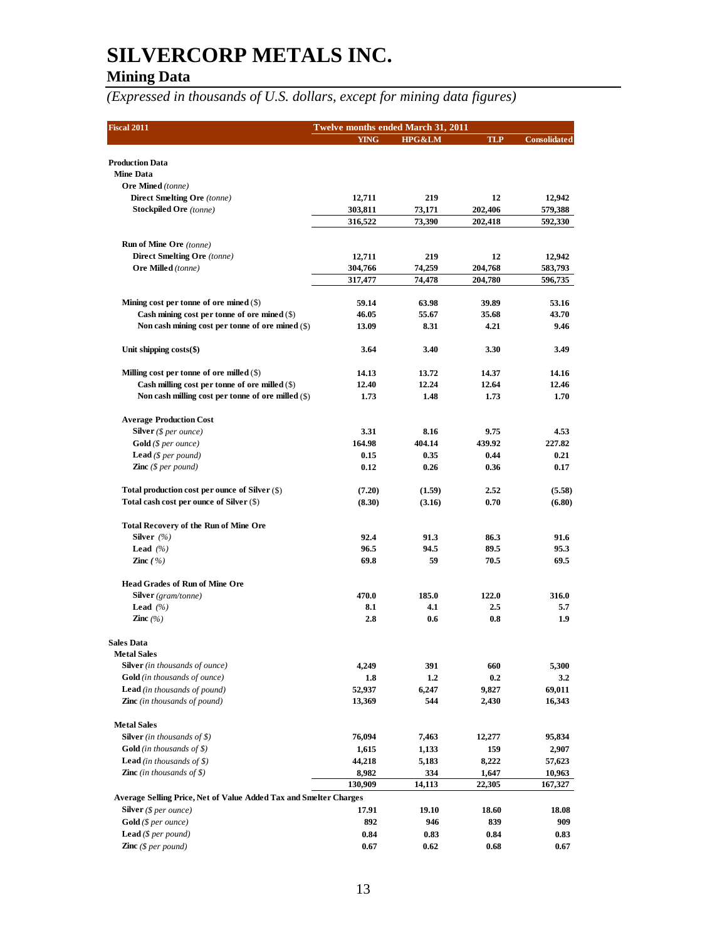## **Mining Data**

| <b>Fiscal 2011</b>                                                                              | <b>Twelve months ended March 31, 2011</b> |                  |                |                     |
|-------------------------------------------------------------------------------------------------|-------------------------------------------|------------------|----------------|---------------------|
|                                                                                                 | <b>YING</b>                               | HPG&LM           | <b>TLP</b>     | <b>Consolidated</b> |
| <b>Production Data</b>                                                                          |                                           |                  |                |                     |
| <b>Mine Data</b>                                                                                |                                           |                  |                |                     |
| <b>Ore Mined</b> (tonne)                                                                        |                                           |                  |                |                     |
| <b>Direct Smelting Ore</b> (tonne)                                                              | 12,711                                    | 219              | 12             | 12,942              |
| <b>Stockpiled Ore</b> (tonne)                                                                   | 303,811                                   | 73,171           | 202,406        | 579,388             |
|                                                                                                 | 316,522                                   | 73,390           | 202,418        | 592,330             |
| <b>Run of Mine Ore</b> (tonne)                                                                  |                                           |                  |                |                     |
| Direct Smelting Ore (tonne)                                                                     | 12,711                                    | 219              | 12             | 12,942              |
| <b>Ore Milled</b> (tonne)                                                                       | 304,766                                   | 74,259           | 204,768        | 583,793             |
|                                                                                                 | 317,477                                   | 74,478           | 204,780        | 596,735             |
| Mining cost per tonne of ore mined $(\$)$                                                       | 59.14                                     | 63.98            | 39.89          | 53.16               |
| Cash mining cost per tonne of ore mined $(\$)$                                                  | 46.05                                     | 55.67            | 35.68          | 43.70               |
| Non cash mining cost per tonne of ore mined $(\$)$                                              | 13.09                                     | 8.31             | 4.21           | 9.46                |
| Unit shipping $costs(\text{$\$})$                                                               | 3.64                                      | 3.40             | 3.30           | 3.49                |
|                                                                                                 |                                           |                  |                |                     |
| Milling cost per tonne of ore milled $(\$)$<br>Cash milling cost per tonne of ore milled $(\$)$ | 14.13                                     | 13.72<br>12.24   | 14.37          | 14.16<br>12.46      |
| Non cash milling cost per tonne of ore milled $(\$)$                                            | 12.40<br>1.73                             | 1.48             | 12.64<br>1.73  | 1.70                |
|                                                                                                 |                                           |                  |                |                     |
| <b>Average Production Cost</b>                                                                  | 3.31                                      | 8.16             | 9.75           | 4.53                |
| <b>Silver</b> ( $$per ounce$ )<br>$Gold$ (\$ per ounce)                                         | 164.98                                    | 404.14           | 439.92         | 227.82              |
| <b>Lead</b> (\$ per pound)                                                                      | 0.15                                      | 0.35             | 0.44           | 0.21                |
| <b>Zinc</b> $(\$ per pound)$                                                                    | 0.12                                      | 0.26             | 0.36           | 0.17                |
|                                                                                                 |                                           |                  |                |                     |
| Total production cost per ounce of Silver (\$)<br>Total cash cost per ounce of Silver (\$)      | (7.20)<br>(8.30)                          | (1.59)<br>(3.16) | 2.52<br>0.70   | (5.58)<br>(6.80)    |
|                                                                                                 |                                           |                  |                |                     |
| <b>Total Recovery of the Run of Mine Ore</b>                                                    |                                           |                  |                |                     |
| Silver $(%$                                                                                     | 92.4                                      | 91.3             | 86.3           | 91.6                |
| <b>Lead</b> $(%$                                                                                | 96.5                                      | 94.5             | 89.5           | 95.3                |
| <b>Zinc</b> $(\%)$                                                                              | 69.8                                      | 59               | 70.5           | 69.5                |
| <b>Head Grades of Run of Mine Ore</b>                                                           |                                           |                  |                |                     |
| <b>Silver</b> (gram/tonne)                                                                      | 470.0                                     | 185.0            | 122.0          | 316.0               |
| <b>Lead</b> $(%$                                                                                | 8.1                                       | 4.1              | 2.5            | 5.7                 |
| Zinc $(\% )$                                                                                    | 2.8                                       | 0.6              | 0.8            | 1.9                 |
| <b>Sales Data</b>                                                                               |                                           |                  |                |                     |
| <b>Metal Sales</b>                                                                              |                                           |                  |                |                     |
| <b>Silver</b> (in thousands of ounce)                                                           | 4,249                                     | 391              | 660            | 5,300               |
| <b>Gold</b> (in thousands of ounce)                                                             | 1.8                                       | 1.2              | 0.2            | 3.2                 |
| <b>Lead</b> (in thousands of pound)<br><b>Zinc</b> (in thousands of pound)                      | 52,937<br>13,369                          | 6,247<br>544     | 9,827<br>2,430 | 69,011<br>16,343    |
|                                                                                                 |                                           |                  |                |                     |
| <b>Metal Sales</b><br><b>Silver</b> (in thousands of \$)                                        | 76,094                                    |                  |                | 95,834              |
| <b>Gold</b> (in thousands of $\$ )                                                              | 1,615                                     | 7,463<br>1,133   | 12,277<br>159  | 2,907               |
| <b>Lead</b> (in thousands of $\$ )                                                              | 44,218                                    | 5,183            | 8,222          | 57,623              |
| <b>Zinc</b> (in thousands of \$)                                                                | 8,982                                     | 334              | 1,647          | 10,963              |
|                                                                                                 | 130,909                                   | 14,113           | 22,305         | 167,327             |
| Average Selling Price, Net of Value Added Tax and Smelter Charges                               |                                           |                  |                |                     |
| <b>Silver</b> (\$ per ounce)                                                                    | 17.91                                     | 19.10            | 18.60          | 18.08               |
| <b>Gold</b> (\$ per ounce)                                                                      | 892                                       | 946              | 839            | 909                 |
| <b>Lead</b> ( $$per pound$ )                                                                    | 0.84                                      | 0.83             | 0.84           | 0.83                |
| <b>Zinc</b> $(\$ per pound)$                                                                    | 0.67                                      | 0.62             | 0.68           | 0.67                |